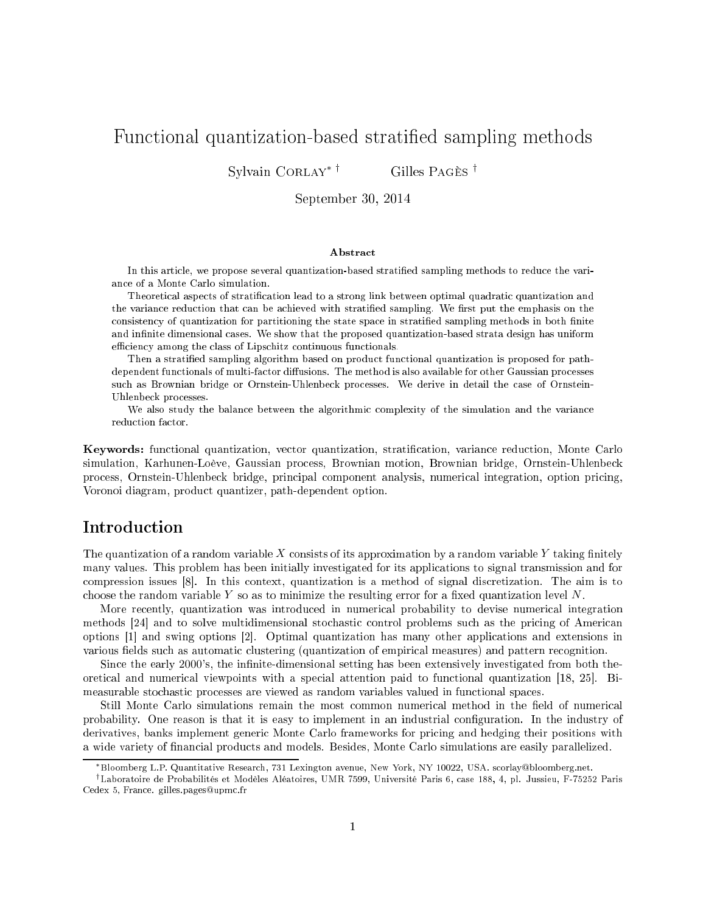# Functional quantization-based stratified sampling methods

Sylvain Corlay∗ † Gilles Pagès †

September 30, <sup>2014</sup>

#### **Abstract**

In this article, we propose several quantization-based stratified sampling methods to reduce the varian
e of a Monte Carlo simulation.

Theoretical aspects of stratification lead to a strong link between optimal quadratic quantization and the variance reduction that can be achieved with stratified sampling. We first put the emphasis on the consistency of quantization for partitioning the state space in stratified sampling methods in both finite and infinite dimensional cases. We show that the proposed quantization-based strata design has uniform efficiency among the class of Lipschitz continuous functionals.

Then a stratified sampling algorithm based on product functional quantization is proposed for pathdependent functionals of multi-factor diffusions. The method is also available for other Gaussian processes such as Brownian bridge or Ornstein-Uhlenbeck processes. We derive in detail the case of Ornstein-Uhlenbe
k pro
esses.

We also study the balance between the algorithmic complexity of the simulation and the variance reduction factor.

Keywords: fun
tional quantization, ve
tor quantization, strati
ation, varian
e redu
tion, Monte Carlo simulation, Karhunen-Loève, Gaussian process, Brownian motion, Brownian bridge, Ornstein-Uhlenbeck pro
ess, Ornstein-Uhlenbe
k bridge, prin
ipal omponent analysis, numeri
al integration, option pri
ing, Voronoi diagram, produ
t quantizer, path-dependent option.

## **Introduction**

The quantization of a random variable X consists of its approximation by a random variable Y taking finitely many values. This problem has been initially investigated for its applications to signal transmission and for compression issues  $[8]$ . In this context, quantization is a method of signal discretization. The aim is to choose the random variable Y so as to minimize the resulting error for a fixed quantization level  $N$ .

More recently, quantization was introduced in numerical probability to devise numerical integration methods [24] and to solve multidimensional stochastic control problems such as the pricing of American options [1] and swing options [2]. Optimal quantization has many other applications and extensions in various fields such as automatic clustering (quantization of empirical measures) and pattern recognition.

Since the early 2000's, the infinite-dimensional setting has been extensively investigated from both theoretical and numerical viewpoints with a special attention paid to functional quantization [18, 25]. Bimeasurable sto
hasti pro
esses are viewed as random variables valued in fun
tional spa
es.

Still Monte Carlo simulations remain the most common numerical method in the field of numerical probability. One reason is that it is easy to implement in an industrial configuration. In the industry of derivatives, banks implement generic Monte Carlo frameworks for pricing and hedging their positions with a wide variety of nan
ial produ
ts and models. Besides, Monte Carlo simulations are easily parallelized.

<sup>∗</sup>Bloomberg L.P. Quantitative Resear
h, 731 Lexington avenue, New York, NY 10022, USA. s
orlaybloomberg.net.

<sup>†</sup>Laboratoire de Probabilités et Modèles Aléatoires, UMR 7599, Université Paris 6, ase 188, 4, pl. Jussieu, F-75252 Paris Cedex 5, France. gilles.pages@upmc.fr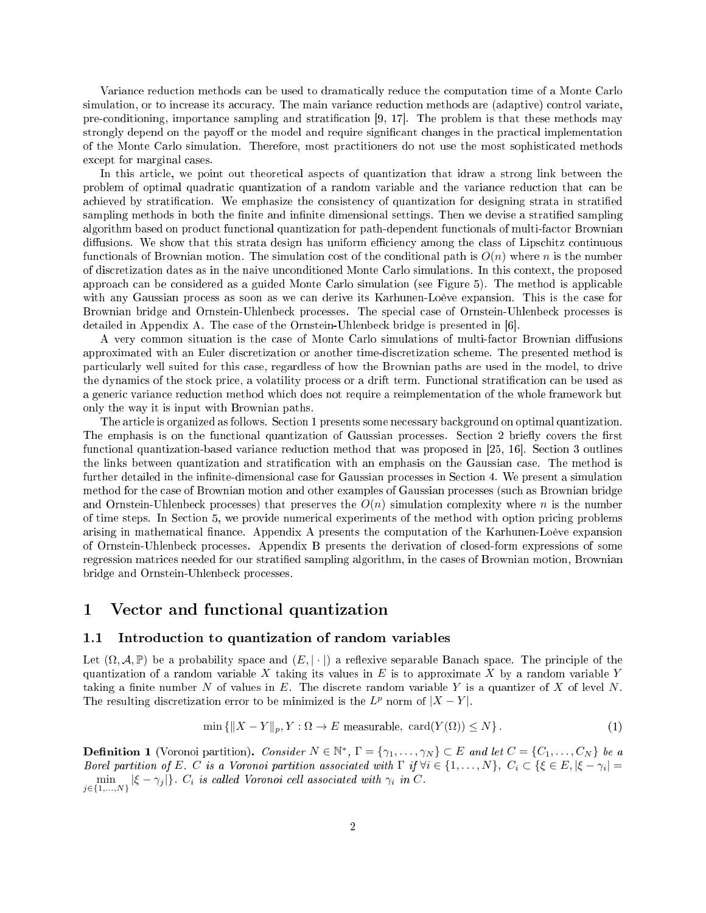Variance reduction methods can be used to dramatically reduce the computation time of a Monte Carlo simulation, or to increase its accuracy. The main variance reduction methods are (adaptive) control variate. pre-conditioning, importance sampling and stratification  $[9, 17]$ . The problem is that these methods may strongly depend on the payoff or the model and require significant changes in the practical implementation of the Monte Carlo simulation. Therefore, most pra
titioners do not use the most sophisti
ated methods except for marginal cases.

In this article, we point out theoretical aspects of quantization that idraw a strong link between the problem of optimal quadrati quantization of a random variable and the varian
e redu
tion that an be achieved by stratification. We emphasize the consistency of quantization for designing strata in stratified sampling methods in both the finite and infinite dimensional settings. Then we devise a stratified sampling algorithm based on product functional quantization for path-dependent functionals of multi-factor Brownian diffusions. We show that this strata design has uniform efficiency among the class of Lipschitz continuous functionals of Brownian motion. The simulation cost of the conditional path is  $O(n)$  where n is the number of dis
retization dates as in the naive un
onditioned Monte Carlo simulations. In this ontext, the proposed approa
h an be onsidered as a guided Monte Carlo simulation (see Figure 5). The method is appli
able with any Gaussian process as soon as we can derive its Karhunen-Loève expansion. This is the case for Brownian bridge and Ornstein-Uhlenbeck processes. The special case of Ornstein-Uhlenbeck processes is detailed in Appendix A. The case of the Ornstein-Uhlenbeck bridge is presented in  $[6]$ .

A very common situation is the case of Monte Carlo simulations of multi-factor Brownian diffusions approximated with an Euler dis
retization or another time-dis
retization s
heme. The presented method is parti
ularly well suited for this ase, regardless of how the Brownian paths are used in the model, to drive the dynamics of the stock price, a volatility process or a drift term. Functional stratification can be used as a generi varian
e redu
tion method whi
h does not require a reimplementation of the whole framework but only the way it is input with Brownian paths.

The arti
le is organized as follows. Se
tion 1 presents some ne
essary ba
kground on optimal quantization. The emphasis is on the functional quantization of Gaussian processes. Section 2 briefly covers the first functional quantization-based variance reduction method that was proposed in [25, 16]. Section 3 outlines the links between quantization and stratification with an emphasis on the Gaussian case. The method is further detailed in the infinite-dimensional case for Gaussian processes in Section 4. We present a simulation method for the ase of Brownian motion and other examples of Gaussian pro
esses (su
h as Brownian bridge and Ornstein-Uhlenbeck processes) that preserves the  $O(n)$  simulation complexity where n is the number of time steps. In Se
tion 5, we provide numeri
al experiments of the method with option pri
ing problems arising in mathematical finance. Appendix A presents the computation of the Karhunen-Loève expansion of Ornstein-Uhlenbe
k pro
esses. Appendix B presents the derivation of losed-form expressions of some regression matrices needed for our stratified sampling algorithm, in the cases of Brownian motion, Brownian bridge and Ornstein-Uhlenbe
k pro
esses.

#### Vector and functional quantization  $\mathbf 1$

#### 1.1 Introdu
tion to quantization of random variables

Let  $(\Omega, \mathcal{A}, \mathbb{P})$  be a probability space and  $(E, |\cdot|)$  a reflexive separable Banach space. The principle of the quantization of a random variable X taking its values in E is to approximate X by a random variable Y taking a finite number N of values in E. The discrete random variable Y is a quantizer of X of level N. The resulting discretization error to be minimized is the  $L^p$  norm of  $|X - Y|$ .

$$
\min\left\{ \|X - Y\|_p, Y : \Omega \to E \text{ measurable, } \text{card}(Y(\Omega)) \le N \right\}. \tag{1}
$$

**Definition 1** (Voronoi partition). Consider  $N \in \mathbb{N}^*$ ,  $\Gamma = \{\gamma_1, \ldots, \gamma_N\} \subset E$  and let  $C = \{C_1, \ldots, C_N\}$  be a Borel partition of E. C is a Voronoi partition associated with  $\Gamma$  if  $\forall i \in \{1,\ldots,N\}$ ,  $C_i \subset \{\xi \in E, |\xi - \gamma_i| = 1\}$  $\min_{j \in \{1,...,N\}} |\xi - \gamma_j|$ .  $C_i$  is called Voronoi cell associated with  $\gamma_i$  in  $C$ .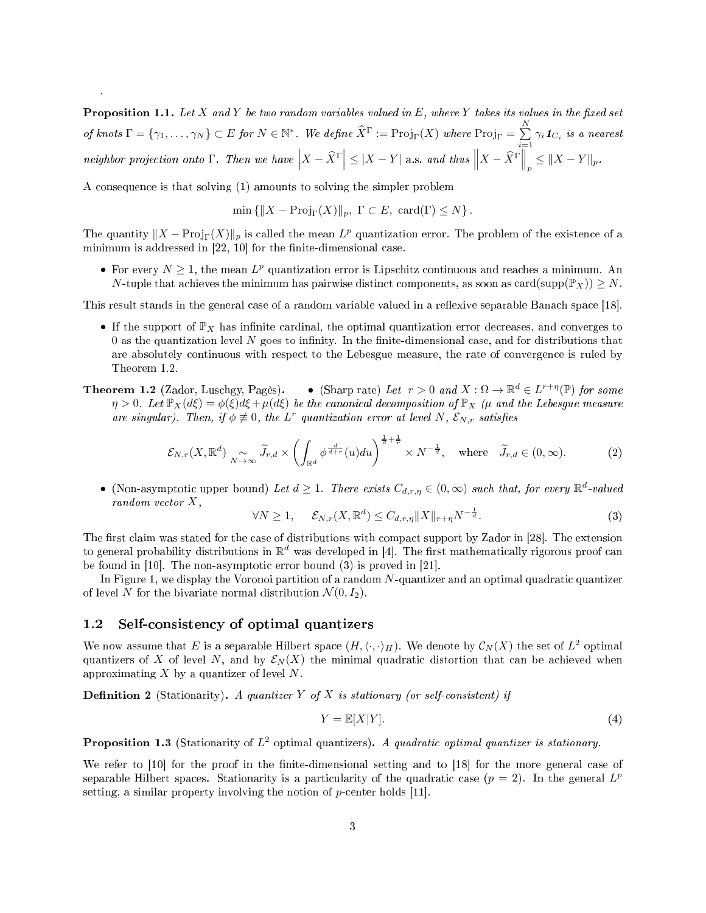**Proposition 1.1.** Let X and Y be two random variables valued in E, where Y takes its values in the fixed set of knots  $\Gamma = \{\gamma_1,\ldots,\gamma_N\} \subset E$  for  $N \in \mathbb{N}^*$ . We define  $\widehat{X}^{\Gamma} := \mathrm{Proj}_{\Gamma}(X)$  where  $\mathrm{Proj}_{\Gamma} = \sum_{i=1}^{N} \gamma_i \mathbf{1}_{C_i}$  is a nearest  $i=1$ neighbor projection onto  $\Gamma$ . Then we have  $\left|X-\widehat{X}^{\Gamma}\right|\leq\left|X-Y\right|$  a.s. and thus  $\left\|X-\widehat{X}^{\Gamma}\right\|_p\leq\left\|X-Y\right\|_p$ .

A onsequen
e is that solving (1) amounts to solving the simpler problem

$$
\min\left\{\|X - \text{Proj}_{\Gamma}(X)\|_{p}, \ \Gamma \subset E, \ \text{card}(\Gamma) \le N\right\}.
$$

The quantity  $||X - \text{Proj}_{\Gamma}(X)||_p$  is called the mean  $L^p$  quantization error. The problem of the existence of a minimum is addressed in  $[22, 10]$  for the finite-dimensional case.

• For every  $N \geq 1$ , the mean  $L^p$  quantization error is Lipschitz continuous and reaches a minimum. An N-tuple that achieves the minimum has pairwise distinct components, as soon as card( $supp(\mathbb{P}_X)$ ) > N.

This result stands in the general case of a random variable valued in a reflexive separable Banach space [18].

- If the support of  $\mathbb{P}_X$  has infinite cardinal, the optimal quantization error decreases, and converges to  $0$  as the quantization level  $N$  goes to infinity. In the finite-dimensional case, and for distributions that are absolutely continuous with respect to the Lebesgue measure, the rate of convergence is ruled by Theorem 1.2.
- **Theorem 1.2** (Zador, Luschgy, Pagès). (Sharp rate) Let  $r > 0$  and  $X : \Omega \to \mathbb{R}^d \in L^{r+\eta}(\mathbb{P})$  for some  $\eta > 0$ . Let  $\mathbb{P}_X(d\xi) = \phi(\xi)d\xi + \mu(d\xi)$  be the canonical decomposition of  $\mathbb{P}_X$  ( $\mu$  and the Lebesgue measure are singular). Then, if  $\phi \not\equiv 0$ , the L<sup>r</sup> quantization error at level N,  $\mathcal{E}_{N,r}$  satisfies

$$
\mathcal{E}_{N,r}(X,\mathbb{R}^d) \underset{N \to \infty}{\sim} \widetilde{J}_{r,d} \times \left( \int_{\mathbb{R}^d} \phi^{\frac{d}{d+r}}(u) du \right)^{\frac{1}{d} + \frac{1}{r}} \times N^{-\frac{1}{d}}, \quad \text{where} \quad \widetilde{J}_{r,d} \in (0,\infty). \tag{2}
$$

• (Non-asymptotic upper bound) Let  $d \geq 1$ . There exists  $C_{d,r,\eta} \in (0,\infty)$  such that, for every  $\mathbb{R}^d$ -valued random vector X,

$$
\forall N \ge 1, \qquad \mathcal{E}_{N,r}(X, \mathbb{R}^d) \le C_{d,r,\eta} \|X\|_{r+\eta} N^{-\frac{1}{d}}.
$$
\n
$$
(3)
$$

The first claim was stated for the case of distributions with compact support by Zador in [28]. The extension to general probability distributions in  $\mathbb{R}^d$  was developed in [4]. The first mathematically rigorous proof can be found in  $[10]$ . The non-asymptotic error bound  $(3)$  is proved in  $[21]$ .

In Figure 1, we display the Voronoi partition of a random N-quantizer and an optimal quadratic quantizer of level N for the bivariate normal distribution  $\mathcal{N}(0, I_2)$ .

#### 1.2 Selfonsisten
y of optimal quantizers

We now assume that E is a separable Hilbert space  $(H, \langle \cdot, \cdot \rangle_H)$ . We denote by  $\mathcal{C}_N(X)$  the set of  $L^2$  optimal quantizers of X of level N, and by  $\mathcal{E}_N(X)$  the minimal quadratic distortion that can be achieved when approximating  $X$  by a quantizer of level  $N$ .

**Definition 2** (Stationarity). A quantizer Y of X is stationary (or self-consistent) if

$$
Y = \mathbb{E}[X|Y].\tag{4}
$$

**Proposition 1.3** (Stationarity of  $L^2$  optimal quantizers). A quadratic optimal quantizer is stationary.

We refer to  $[10]$  for the proof in the finite-dimensional setting and to  $[18]$  for the more general case of separable Hilbert spaces. Stationarity is a particularity of the quadratic case  $(p = 2)$ . In the general  $L^p$ setting, a similar property involving the notion of  $p$ -center holds [11].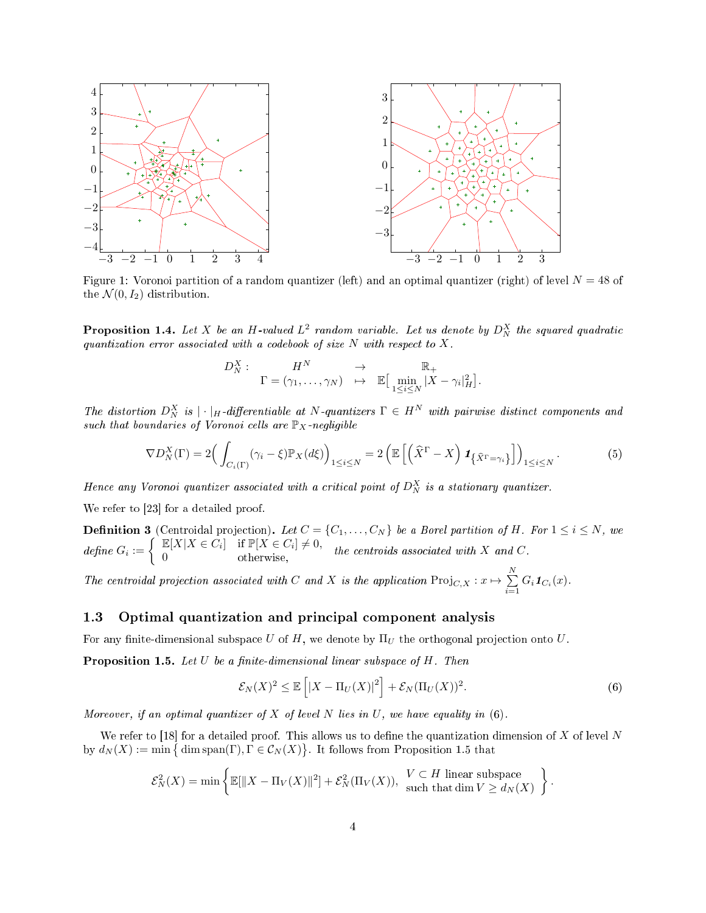

Figure 1: Voronoi partition of a random quantizer (left) and an optimal quantizer (right) of level  $N = 48$  of the  $\mathcal{N}(0, I_2)$  distribution.

**Proposition 1.4.** Let X be an H-valued  $L^2$  random variable. Let us denote by  $D_N^X$  the squared quadratic quantization error associated with a codebook of size N with respect to X.

$$
D_N^X: \t H^N \to \t \mathbb{R}_+ \\
 \Gamma = (\gamma_1, \ldots, \gamma_N) \ \mapsto \ \mathbb{E}\big[\min_{1 \leq i \leq N} |X - \gamma_i|_H^2\big]
$$

The distortion  $D_N^X$  is  $\|\cdot\|_H$ -differentiable at N-quantizers  $\Gamma \in H^N$  with pairwise distinct components and such that boundaries of Voronoi cells are  $\mathbb{P}_X$ -negligible

$$
\nabla D_N^X(\Gamma) = 2 \Big( \int_{C_i(\Gamma)} (\gamma_i - \xi) \mathbb{P}_X(d\xi) \Big)_{1 \le i \le N} = 2 \left( \mathbb{E} \left[ \left( \widehat{X}^{\Gamma} - X \right) \mathbf{1}_{\{\widehat{X}^{\Gamma} = \gamma_i\}} \right] \right)_{1 \le i \le N} . \tag{5}
$$

.

Hence any Voronoi quantizer associated with a critical point of  $D_{N}^{X}$  is a stationary quantizer.

We refer to  $[23]$  for a detailed proof.

**Definition 3** (Centroidal projection). Let  $C = \{C_1, \ldots, C_N\}$  be a Borel partition of H. For  $1 \le i \le N$ , we define  $G_i := \begin{cases} \mathbb{E}[X|X \in C_i] & \text{if } \mathbb{P}[X \in C_i] \neq 0, \\ 0 & \text{otherwise,} \end{cases}$  the centroids associated with X and C.

The centroidal projection associated with C and X is the application  $\text{Proj}_{C,X} : x \mapsto \sum_{i=1}^{N}$  $\sum_{i=1} G_i \mathbf{1}_{C_i}(x).$ 

#### 1.3 Optimal quantization and prin
ipal omponent analysis

For any finite-dimensional subspace U of H, we denote by  $\Pi_U$  the orthogonal projection onto U.

**Proposition 1.5.** Let U be a finite-dimensional linear subspace of  $H$ . Then

$$
\mathcal{E}_N(X)^2 \le \mathbb{E}\left[|X - \Pi_U(X)|^2\right] + \mathcal{E}_N(\Pi_U(X))^2. \tag{6}
$$

Moreover, if an optimal quantizer of X of level N lies in U, we have equality in  $(6)$ .

We refer to [18] for a detailed proof. This allows us to define the quantization dimension of X of level  $N$ by  $d_N(X) := \min \big\{ \dim \text{span}(\Gamma), \Gamma \in C_N(X) \big\}$ . It follows from Proposition 1.5 that

$$
\mathcal{E}_N^2(X) = \min \left\{ \mathbb{E}[\|X - \Pi_V(X)\|^2] + \mathcal{E}_N^2(\Pi_V(X)), \begin{array}{c} V \subset H \text{ linear subspace} \\ \text{such that } \dim V \ge d_N(X) \end{array} \right\}.
$$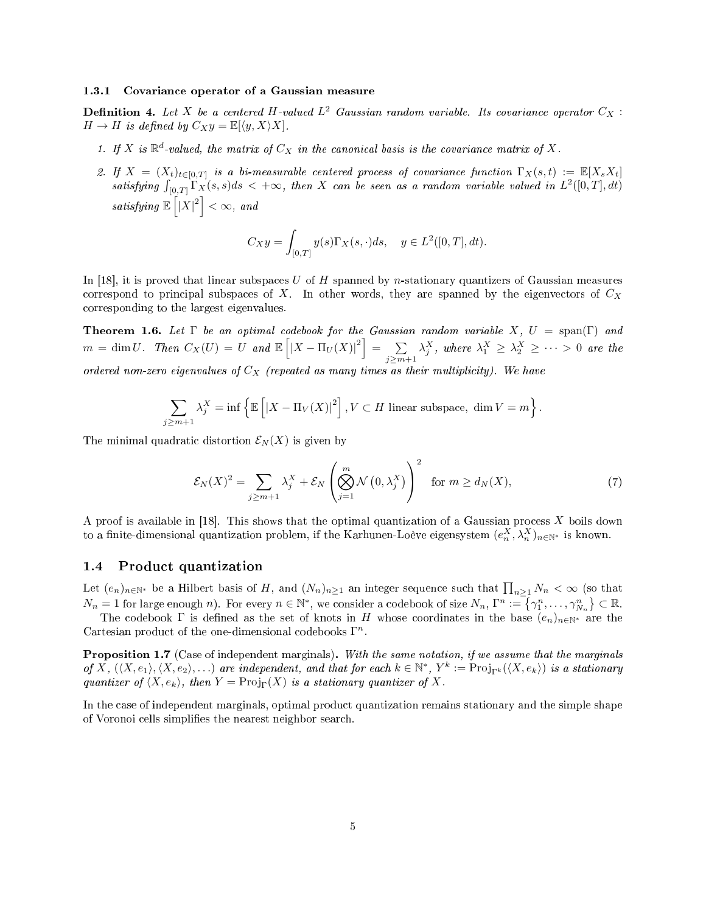#### 1.3.1 Covarian
e operator of a Gaussian measure

**Definition 4.** Let X be a centered H-valued  $L^2$  Gaussian random variable. Its covariance operator  $C_X$ :  $H \to H$  is defined by  $C_X y = \mathbb{E}[\langle y, X \rangle X].$ 

- 1. If X is  $\mathbb{R}^d$ -valued, the matrix of  $C_X$  in the canonical basis is the covariance matrix of X.
- 2. If  $X = (X_t)_{t \in [0,T]}$  is a bi-measurable centered process of covariance function  $\Gamma_X(s,t) := \mathbb{E}[X_s X_t]$ satisfying  $\int_{[0,T]} \Gamma_X(s,s)ds < +\infty$ , then X can be seen as a random variable valued in  $L^2([0,T], dt)$ satisfying  $\mathbb{E}\left[|\hat{X}|^2\right]<\infty$ , and

$$
C_Xy = \int_{[0,T]} y(s)\Gamma_X(s,\cdot)ds, \quad y \in L^2([0,T], dt).
$$

In [18], it is proved that linear subspaces U of H spanned by n-stationary quantizers of Gaussian measures correspond to principal subspaces of X. In other words, they are spanned by the eigenvectors of  $C_X$ orresponding to the largest eigenvalues.

**Theorem 1.6.** Let  $\Gamma$  be an optimal codebook for the Gaussian random variable X,  $U = \text{span}(\Gamma)$  and  $m = \dim U$ . Then  $C_X(U) = U$  and  $\mathbb{E}\left[ |X - \Pi_U(X)|^2 \right] = \sum_{\mathcal{N}}$  $j \geq m+1$  $\lambda_j^X$ , where  $\lambda_1^X \geq \lambda_2^X \geq \cdots > 0$  are the ordered non-zero eigenvalues of  $C_X$  (repeated as many times as their multiplicity). We have

$$
\sum_{j \ge m+1} \lambda_j^X = \inf \left\{ \mathbb{E} \left[ |X - \Pi_V(X)|^2 \right], V \subset H \text{ linear subspace, dim } V = m \right\}.
$$

The minimal quadratic distortion  $\mathcal{E}_N(X)$  is given by

$$
\mathcal{E}_N(X)^2 = \sum_{j \ge m+1} \lambda_j^X + \mathcal{E}_N\left(\bigotimes_{j=1}^m \mathcal{N}\left(0, \lambda_j^X\right)\right)^2 \text{ for } m \ge d_N(X),\tag{7}
$$

A proof is available in [18]. This shows that the optimal quantization of a Gaussian process  $X$  boils down to a finite-dimensional quantization problem, if the Karhunen-Loève eigensystem  $(e_n^X, \lambda_n^X)_{n\in\mathbb{N}^*}$  is known.

#### 1.4 Product quantization

Let  $(e_n)_{n\in\mathbb{N}^*}$  be a Hilbert basis of H, and  $(N_n)_{n\geq 1}$  an integer sequence such that  $\prod_{n\geq 1} N_n < \infty$  (so that  $N_n = 1$  for large enough n). For every  $n \in \mathbb{N}^*$ , we consider a codebook of size  $N_n$ ,  $\Gamma^n := \{ \gamma_1^n, \ldots, \gamma_{N_n}^n \} \subset \mathbb{R}$ .

The codebook  $\Gamma$  is defined as the set of knots in H whose coordinates in the base  $(e_n)_{n\in\mathbb{N}^*}$  are the Cartesian product of the one-dimensional codebooks  $\Gamma^n$ .

Proposition 1.7 (Case of independent marginals). With the same notation, if we assume that the marginals of X,  $(\langle X, e_1 \rangle, \langle X, e_2 \rangle, \ldots)$  are independent, and that for each  $k \in \mathbb{N}^*, Y^k := \text{Proj}_{\Gamma^k}(\langle X, e_k \rangle)$  is a stationary quantizer of  $\langle X, e_k \rangle$ , then  $Y = \text{Proj}_{\Gamma}(X)$  is a stationary quantizer of X.

In the case of independent marginals, optimal product quantization remains stationary and the simple shape of Voronoi cells simplifies the nearest neighbor search.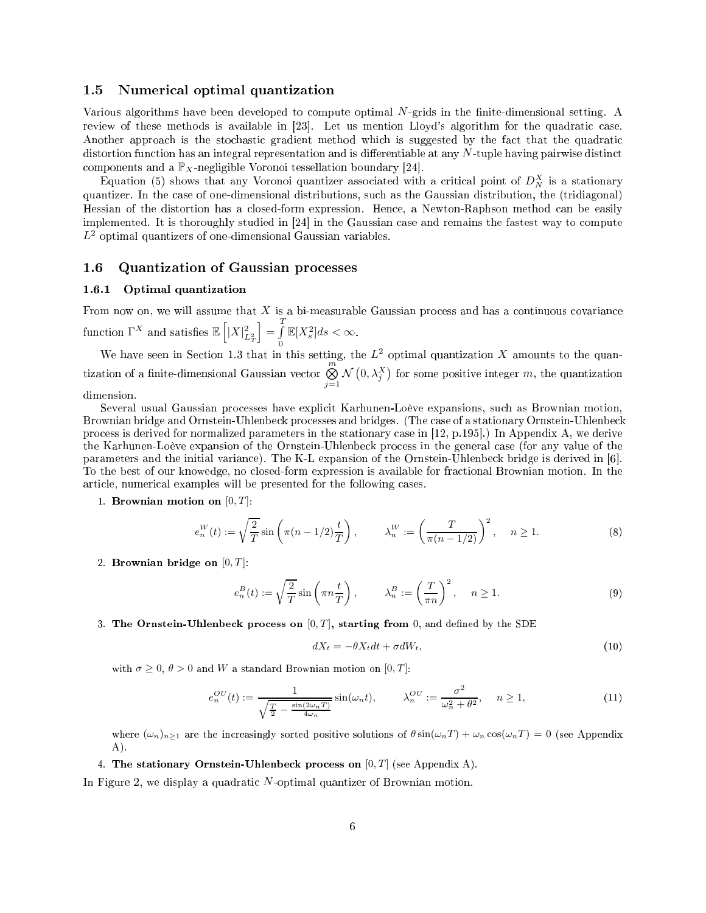#### 1.5 Numeri
al optimal quantization

Various algorithms have been developed to compute optimal N-grids in the finite-dimensional setting. A review of these methods is available in [23]. Let us mention Lloyd's algorithm for the quadratic case. Another approach is the stochastic gradient method which is suggested by the fact that the quadratic distortion function has an integral representation and is differentiable at any N-tuple having pairwise distinct components and a  $\mathbb{P}_X$ -negligible Voronoi tessellation boundary [24].

Equation (5) shows that any Voronoi quantizer associated with a critical point of  $D_N^X$  is a stationary quantizer. In the ase of one-dimensional distributions, su
h as the Gaussian distribution, the (tridiagonal) Hessian of the distortion has a losed-form expression. Hen
e, a Newton-Raphson method an be easily implemented. It is thoroughly studied in  $[24]$  in the Gaussian case and remains the fastest way to compute  $L^2$  optimal quantizers of one-dimensional Gaussian variables.

#### 1.6 Quantization of Gaussian pro
esses

#### 1.6.1 Optimal quantization

From now on, we will assume that  $X$  is a bi-measurable Gaussian process and has a continuous covariance function  $\Gamma^X$  and satisfies  $\mathbb{E}\left[|X|_{L^2_T}^2\right]$  $\Big] = \int\limits_{s}^{T} \mathbb{E}[X_s^2]ds < \infty.$ 

We have seen in Section 1.3 that in this setting, the  $L^2$  optimal quantization X amounts to the quantization of a finite-dimensional Gaussian vector  $\stackrel{m}{\bigotimes}$  $\bigotimes_{j=1}^{\infty} \mathcal{N}(0, \lambda_j^X)$  for some positive integer m, the quantization

dimension.

Several usual Gaussian processes have explicit Karhunen-Loève expansions, such as Brownian motion, Brownian bridge and Ornstein-Uhlenbeck processes and bridges. (The case of a stationary Ornstein-Uhlenbeck process is derived for normalized parameters in the stationary case in  $[12, p.195]$ .) In Appendix A, we derive the Karhunen-Loève expansion of the Ornstein-Uhlenbe
k pro
ess in the general ase (for any value of the parameters and the initial variance). The K-L expansion of the Ornstein-Uhlenbeck bridge is derived in [6]. To the best of our knowedge, no losed-form expression is available for fra
tional Brownian motion. In the arti
le, numeri
al examples will be presented for the following ases.

1. Brownian motion on  $[0, T]$ :

$$
e_n^W(t) := \sqrt{\frac{2}{T}} \sin\left(\pi (n - 1/2) \frac{t}{T}\right), \qquad \lambda_n^W := \left(\frac{T}{\pi (n - 1/2)}\right)^2, \quad n \ge 1.
$$
 (8)

2. Brownian bridge on  $[0, T]$ :

$$
e_n^B(t) := \sqrt{\frac{2}{T}} \sin\left(\pi n \frac{t}{T}\right), \qquad \lambda_n^B := \left(\frac{T}{\pi n}\right)^2, \quad n \ge 1.
$$
 (9)

3. The Ornstein-Uhlenbeck process on  $[0, T]$ , starting from 0, and defined by the SDE

$$
dX_t = -\theta X_t dt + \sigma dW_t, \qquad (10)
$$

with  $\sigma \geq 0$ ,  $\theta > 0$  and W a standard Brownian motion on [0, T]:

$$
e_n^{OU}(t) := \frac{1}{\sqrt{\frac{T}{2} - \frac{\sin(2\omega_n T)}{4\omega_n}}}\sin(\omega_n t), \qquad \lambda_n^{OU} := \frac{\sigma^2}{\omega_n^2 + \theta^2}, \quad n \ge 1,
$$
\n(11)

where  $(\omega_n)_{n\geq 1}$  are the increasingly sorted positive solutions of  $\theta \sin(\omega_n T) + \omega_n \cos(\omega_n T) = 0$  (see Appendix A).

#### 4. The stationary Ornstein-Uhlenbeck process on  $[0, T]$  (see Appendix A).

In Figure 2, we display a quadratic N-optimal quantizer of Brownian motion.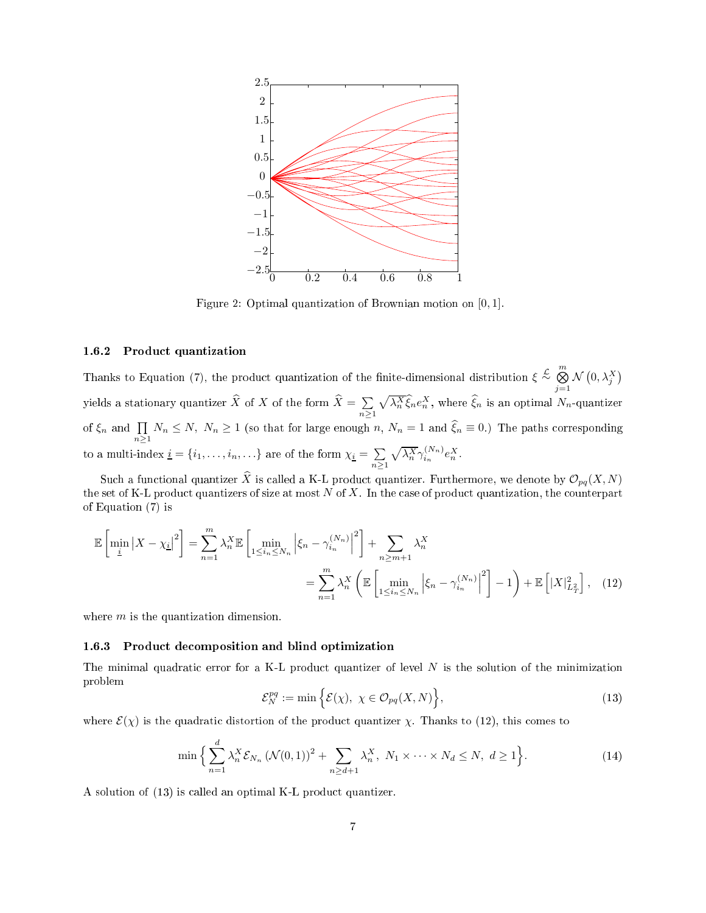

Figure 2: Optimal quantization of Brownian motion on [0, 1].

#### 1.6.2 Produ
t quantization

Thanks to Equation (7), the product quantization of the finite-dimensional distribution  $\xi \stackrel{L}{\sim} \bigotimes^m$  $\bigotimes_{j=1}^m \mathcal{N}\left(0, \lambda_j^X\right)$ yields a stationary quantizer  $\widehat{X}$  of X of the form  $\widehat{X} = \sum_{i=1}^{n} X_i$  $n\geq 1$  $\sqrt{\lambda_n^X} \hat{\xi}_n e_n^X$ , where  $\hat{\xi}_n$  is an optimal  $N_n$ -quantizer of  $\xi_n$  and  $\prod_{n\geq 1} N_n \leq N$ ,  $N_n \geq 1$  (so that for large enough n,  $N_n = 1$  and  $\widehat{\xi}_n \equiv 0$ .) The paths corresponding to a multi-index  $\underline{i} = \{i_1, \ldots, i_n, \ldots\}$  are of the form  $\chi_{\underline{i}} = \sum_{i=1}^{n}$  $n\geq 1$  $\sqrt{\lambda_n^X} \gamma_{i_n}^{(N_n)} e_n^X$ .

Such a functional quantizer  $\widehat{X}$  is called a K-L product quantizer. Furthermore, we denote by  $\mathcal{O}_{pq}(X, N)$ the set of K-L product quantizers of size at most  $N$  of  $X$ . In the case of product quantization, the counterpart of Equation (7) is

$$
\mathbb{E}\left[\min_{\underline{i}}\left|X-\chi_{\underline{i}}\right|^2\right] = \sum_{n=1}^m \lambda_n^X \mathbb{E}\left[\min_{1\le i_n\le N_n} \left|\xi_n-\gamma_{i_n}^{(N_n)}\right|^2\right] + \sum_{n\ge m+1} \lambda_n^X
$$

$$
= \sum_{n=1}^m \lambda_n^X \left(\mathbb{E}\left[\min_{1\le i_n\le N_n} \left|\xi_n-\gamma_{i_n}^{(N_n)}\right|^2\right]-1\right) + \mathbb{E}\left[\left|X\right|_{L_T^2}^2\right],\tag{12}
$$

where  $m$  is the quantization dimension.

#### 1.6.3 Produ
t de
omposition and blind optimization

The minimal quadratic error for a K-L product quantizer of level  $N$  is the solution of the minimization problem

$$
\mathcal{E}_N^{pq} := \min\left\{\mathcal{E}(\chi), \ \chi \in \mathcal{O}_{pq}(X,N)\right\},\tag{13}
$$

where  $\mathcal{E}(\chi)$  is the quadratic distortion of the product quantizer  $\chi$ . Thanks to (12), this comes to

$$
\min\Big\{\sum_{n=1}^{d} \lambda_n^X \mathcal{E}_{N_n} \left(\mathcal{N}(0,1)\right)^2 + \sum_{n \ge d+1} \lambda_n^X, \ N_1 \times \dots \times N_d \le N, \ d \ge 1\Big\}.
$$
\n(14)

A solution of (13) is alled an optimal K-L produ
t quantizer.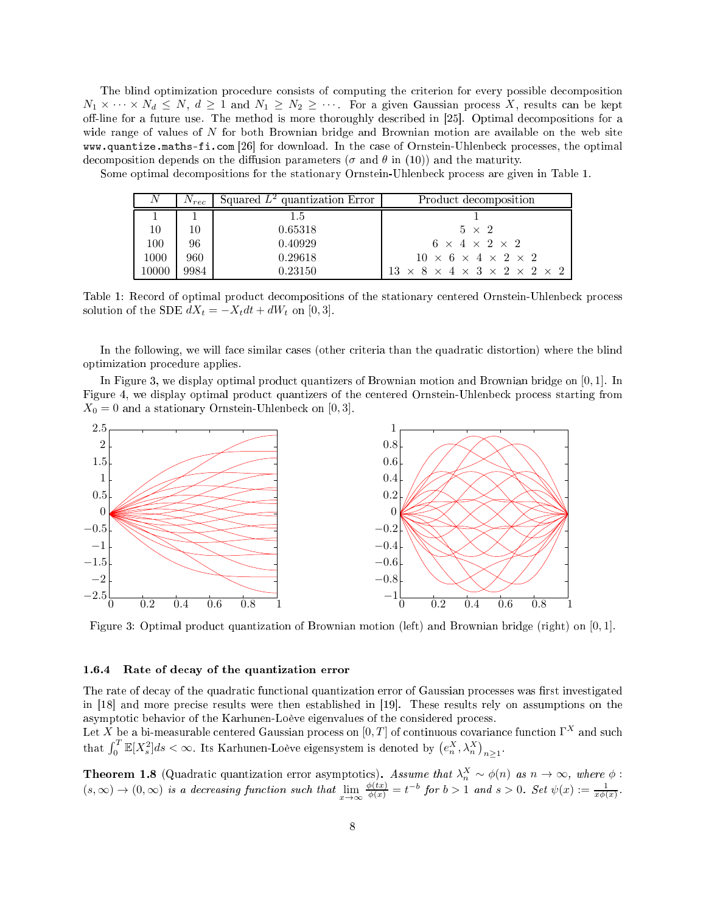The blind optimization procedure consists of computing the criterion for every possible decomposition  $N_1 \times \cdots \times N_d \leq N$ ,  $d \geq 1$  and  $N_1 \geq N_2 \geq \cdots$ . For a given Gaussian process X, results can be kept off-line for a future use. The method is more thoroughly described in  $[25]$ . Optimal decompositions for a wide range of values of N for both Brownian bridge and Brownian motion are available on the web site www.quantize.maths-fi.com [26] for download. In the case of Ornstein-Uhlenbeck processes, the optimal decomposition depends on the diffusion parameters ( $\sigma$  and  $\theta$  in (10)) and the maturity.

Some optimal de
ompositions for the stationary Ornstein-Uhlenbe
k pro
ess are given in Table 1.

|       | $N_{rec}$ | Squared $L^2$ quantization Error | Product decomposition                                      |
|-------|-----------|----------------------------------|------------------------------------------------------------|
|       |           | 1.5                              |                                                            |
| 10    | 10        | 0.65318                          | $5 \times 2$                                               |
| 100   | 96        | 0.40929                          | $6 \times 4 \times 2 \times 2$                             |
| 1000  | 960       | 0.29618                          | $10 \times 6 \times 4 \times 2 \times 2$                   |
| 10000 | 9984      | 0.23150                          | $13 \times 8 \times 4 \times 3 \times 2 \times 2 \times 2$ |

Table 1: Record of optimal product decompositions of the stationary centered Ornstein-Uhlenbeck process solution of the SDE  $dX_t = -X_t dt + dW_t$  on [0,3].

In the following, we will face similar cases (other criteria than the quadratic distortion) where the blind optimization pro
edure applies.

In Figure 3, we display optimal product quantizers of Brownian motion and Brownian bridge on [0, 1]. In Figure 4, we display optimal product quantizers of the centered Ornstein-Uhlenbeck process starting from  $X_0 = 0$  and a stationary Ornstein-Uhlenbeck on [0, 3].



Figure 3: Optimal produ
t quantization of Brownian motion (left) and Brownian bridge (right) on [0, 1].

#### 1.6.4 Rate of de
ay of the quantization error

The rate of decay of the quadratic functional quantization error of Gaussian processes was first investigated in [18] and more precise results were then established in [19]. These results rely on assumptions on the asymptoti behavior of the Karhunen-Loève eigenvalues of the onsidered pro
ess.

Let  $X$  be a bi-measurable centered Gaussian process on  $[0,T]$  of continuous covariance function  $\Gamma^X$  and such that  $\int_0^T \mathbb{E}[X_s^2]ds < \infty$ . Its Karhunen-Loève eigensystem is denoted by  $(e_n^X, \lambda_n^X)_{n \geq 1}$ .

**Theorem 1.8** (Quadratic quantization error asymptotics). Assume that  $\lambda_n^X \sim \phi(n)$  as  $n \to \infty$ , where  $\phi$ :  $(s, \infty) \to (0, \infty)$  is a decreasing function such that  $\lim_{x \to \infty} \frac{\phi(tx)}{\phi(x)} = t^{-b}$  for  $b > 1$  and  $s > 0$ . Set  $\psi(x) := \frac{1}{x\phi(x)}$ .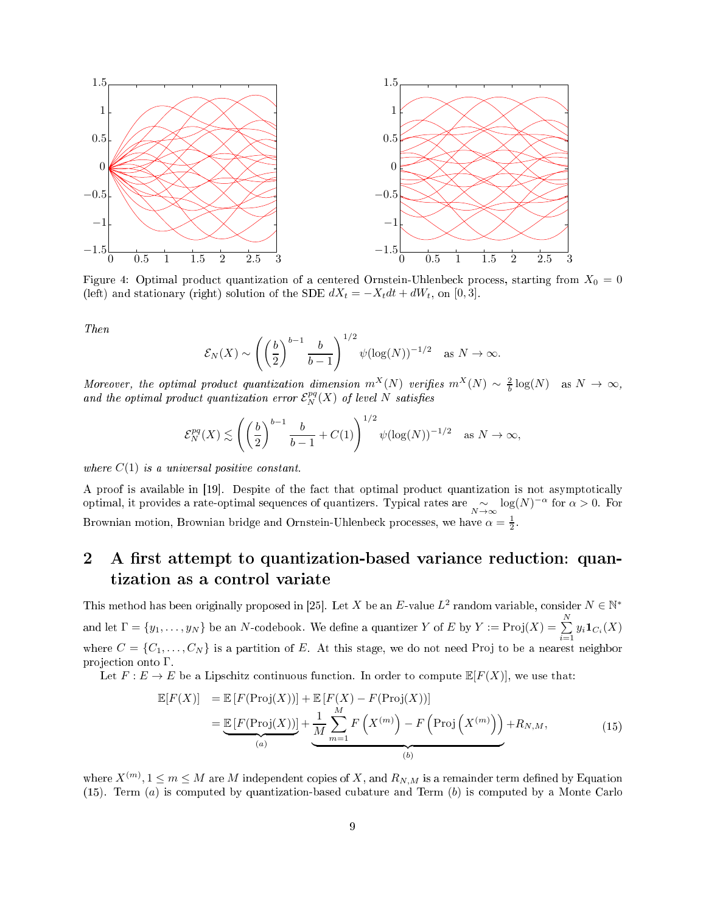

Figure 4: Optimal product quantization of a centered Ornstein-Uhlenbeck process, starting from  $X_0 = 0$ (left) and stationary (right) solution of the SDE  $dX_t = -X_t dt + dW_t$ , on [0,3].

Then

$$
\mathcal{E}_N(X) \sim \left( \left( \frac{b}{2} \right)^{b-1} \frac{b}{b-1} \right)^{1/2} \psi(\log(N))^{-1/2}
$$
 as  $N \to \infty$ .

Moreover, the optimal product quantization dimension  $m^X(N)$  verifies  $m^X(N) \sim \frac{2}{b} \log(N)$  as  $N \to \infty$ , and the optimal product quantization error  $\mathcal{E}_N^{pq}(X)$  of level  $N$  satisfies

$$
\mathcal{E}_N^{pq}(X) \lesssim \left( \left( \frac{b}{2} \right)^{b-1} \frac{b}{b-1} + C(1) \right)^{1/2} \psi(\log(N))^{-1/2} \quad \text{as } N \to \infty,
$$

where  $C(1)$  is a universal positive constant.

A proof is available in [19]. Despite of the fact that optimal product quantization is not asymptotically optimal, it provides a rate-optimal sequences of quantizers. Typical rates are  $\sum_{N\to\infty} \log(N)^{-\alpha}$  for  $\alpha > 0$ . For Brownian motion, Brownian bridge and Ornstein-Uhlenbeck processes, we have  $\alpha = \frac{1}{2}$ .

# 2 A first attempt to quantization-based variance reduction: quantization as a ontrol variate

This method has been originally proposed in [25]. Let X be an E-value  $L^2$  random variable, consider  $N \in \mathbb{N}^*$ and let  $\Gamma = \{y_1, \ldots, y_N\}$  be an N-codebook. We define a quantizer Y of E by  $Y := \mathrm{Proj}(X) = \sum_{i=1}^N Y_i$  $\sum_{i=1} y_i \mathbf{1}_{C_i}(X)$ where  $C = \{C_1, \ldots, C_N\}$  is a partition of E. At this stage, we do not need Proj to be a nearest neighbor projection onto Γ.

Let  $F: E \to E$  be a Lipschitz continuous function. In order to compute  $\mathbb{E}[F(X)]$ , we use that:

$$
\mathbb{E}[F(X)] = \mathbb{E}[F(\text{Proj}(X))] + \mathbb{E}[F(X) - F(\text{Proj}(X))]
$$
  
= 
$$
\underbrace{\mathbb{E}[F(\text{Proj}(X))] + \frac{1}{M} \sum_{m=1}^{M} F(X^{(m)}) - F(\text{Proj}(X^{(m)}))}_{(b)} + R_{N,M},
$$
 (15)

where  $X^{(m)}$ ,  $1 \leq m \leq M$  are M independent copies of X, and  $R_{N,M}$  is a remainder term defined by Equation (15). Term  $(a)$  is computed by quantization-based cubature and Term  $(b)$  is computed by a Monte Carlo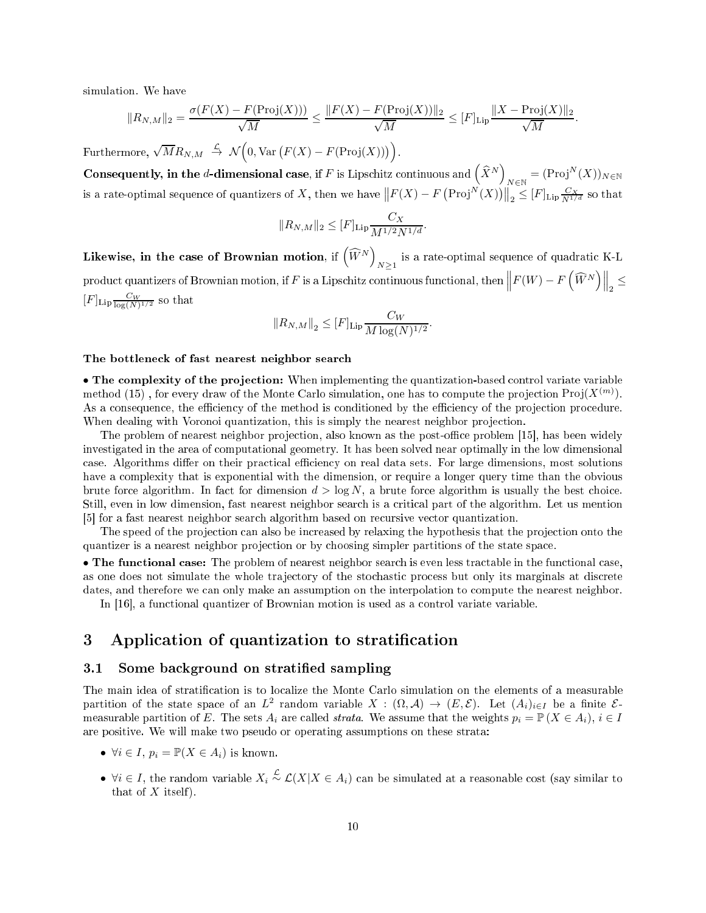simulation. We have

$$
||R_{N,M}||_2 = \frac{\sigma(F(X) - F(\text{Proj}(X)))}{\sqrt{M}} \le \frac{||F(X) - F(\text{Proj}(X))||_2}{\sqrt{M}} \le [F]_{\text{Lip}} \frac{||X - \text{Proj}(X)||_2}{\sqrt{M}}.
$$

Furthermore,  $\sqrt{M}R_{N,M} \stackrel{\mathcal{L}}{\rightarrow} \mathcal{N}\Big(0, \text{Var}\big(F(X) - F(\text{Proj}(X))\big)\Big).$ 

Consequently, in the *d*-dimensional case, if  $F$  is Lipschitz continuous and  $\left(\widehat{X}^N\right)$  $N \in \mathbb{N} = (\text{Proj}^{N}(X))_{N \in \mathbb{N}}$ is a rate-optimal sequence of quantizers of X, then we have  $||F(X) - F(\text{Proj}^N(X))||_2 \leq [F]_{\text{Lip}} \frac{C_X}{N^{1/d}}$  so that

$$
||R_{N,M}||_2 \leq [F]_{\text{Lip}} \frac{C_X}{M^{1/2} N^{1/d}}.
$$

Likewise, in the case of Brownian motion, if  $\left(\widehat{W}^{N}\right)$  $N\geq 1$  $\text{product quantizers of Brownian motion, if } F \text{ is a Lipschitz continuous functional, then } \left\|F(W) - F\left(\widehat{W}^N\right)\right\|_2 \leq 1.$  $[F]_{\text{Lip}} \frac{C_W}{\log(N)^{1/2}}$  so that

$$
||R_{N,M}||_2 \leq [F]_{\text{Lip}} \frac{C_W}{M \log(N)^{1/2}}.
$$

#### The bottlene
k of fast nearest neighbor sear
h

• The complexity of the projection: When implementing the quantization-based control variate variable method (15), for every draw of the Monte Carlo simulation, one has to compute the projection  $\mathrm{Proj}(X^{(m)})$ . As a consequence, the efficiency of the method is conditioned by the efficiency of the projection procedure. When dealing with Voronoi quantization, this is simply the nearest neighbor projection.

The problem of nearest neighbor projection, also known as the post-office problem [15], has been widely investigated in the area of omputational geometry. It has been solved near optimally in the low dimensional case. Algorithms differ on their practical efficiency on real data sets. For large dimensions, most solutions have a complexity that is exponential with the dimension, or require a longer query time than the obvious brute force algorithm. In fact for dimension  $d > \log N$ , a brute force algorithm is usually the best choice. Still, even in low dimension, fast nearest neighbor search is a critical part of the algorithm. Let us mention [5] for a fast nearest neighbor search algorithm based on recursive vector quantization.

The speed of the projection can also be increased by relaxing the hypothesis that the projection onto the quantizer is a nearest neighbor projection or by choosing simpler partitions of the state space.

• The functional case: The problem of nearest neighbor search is even less tractable in the functional case. as one does not simulate the whole trajectory of the stochastic process but only its marginals at discrete dates, and therefore we can only make an assumption on the interpolation to compute the nearest neighbor.

In [16], a functional quantizer of Brownian motion is used as a control variate variable.

## 3 Application of quantization to stratification

#### 3.1 Some ba
kground on stratied sampling

The main idea of stratification is to localize the Monte Carlo simulation on the elements of a measurable partition of the state space of an  $L^2$  random variable  $X : (\Omega, \mathcal{A}) \to (E, \mathcal{E})$ . Let  $(A_i)_{i \in I}$  be a finite  $\mathcal{E}$ measurable partition of E. The sets  $A_i$  are called *strata*. We assume that the weights  $p_i = \mathbb{P}(X \in A_i)$ ,  $i \in I$ are positive. We will make two pseudo or operating assumptions on these strata:

- $\forall i \in I, p_i = \mathbb{P}(X \in A_i)$  is known.
- $\forall i \in I$ , the random variable  $X_i \overset{\mathcal{L}}{\sim} \mathcal{L}(X | X \in A_i)$  can be simulated at a reasonable cost (say similar to that of  $X$  itself).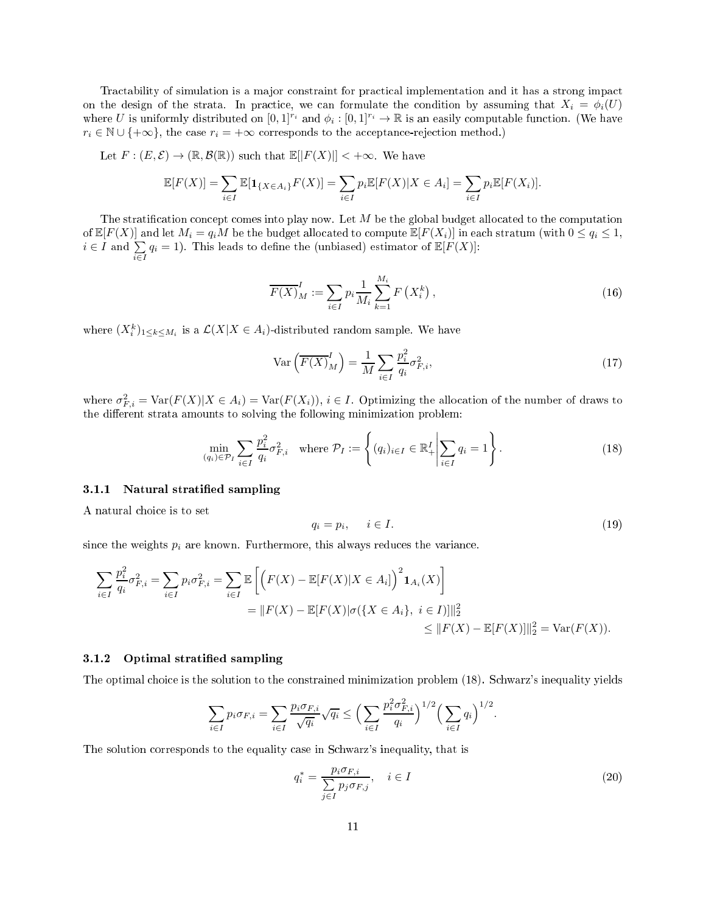Tractability of simulation is a major constraint for practical implementation and it has a strong impact on the design of the strata. In practice, we can formulate the condition by assuming that  $X_i = \phi_i(U)$ where U is uniformly distributed on  $[0,1]^{r_i}$  and  $\phi_i : [0,1]^{r_i} \to \mathbb{R}$  is an easily computable function. (We have  $r_i \in \mathbb{N} \cup \{+\infty\}$ , the case  $r_i = +\infty$  corresponds to the acceptance-rejection method.)

Let  $F: (E, \mathcal{E}) \to (\mathbb{R}, \mathcal{B}(\mathbb{R}))$  such that  $\mathbb{E}[|F(X)|] < +\infty$ . We have

$$
\mathbb{E}[F(X)] = \sum_{i \in I} \mathbb{E}[\mathbf{1}_{\{X \in A_i\}} F(X)] = \sum_{i \in I} p_i \mathbb{E}[F(X)|X \in A_i] = \sum_{i \in I} p_i \mathbb{E}[F(X_i)].
$$

The stratification concept comes into play now. Let  $M$  be the global budget allocated to the computation of  $\mathbb{E}[F(X)]$  and let  $M_i = q_i M$  be the budget allocated to compute  $\mathbb{E}[F(X_i)]$  in each stratum (with  $0 \le q_i \le 1$ ,  $i \in I$  and  $\sum_{i \in I} q_i = 1$ ). This leads to define the (unbiased) estimator of  $\mathbb{E}[F(X)]$ :

$$
\overline{F(X)}_{M}^{I} := \sum_{i \in I} p_{i} \frac{1}{M_{i}} \sum_{k=1}^{M_{i}} F(X_{i}^{k}), \qquad (16)
$$

where  $(X_i^k)_{1 \leq k \leq M_i}$  is a  $\mathcal{L}(X | X \in A_i)$ -distributed random sample. We have

$$
\operatorname{Var}\left(\overline{F(X)}_{M}^{I}\right) = \frac{1}{M} \sum_{i \in I} \frac{p_i^2}{q_i} \sigma_{F,i}^2,\tag{17}
$$

where  $\sigma_{F,i}^2 = \text{Var}(F(X)|X \in A_i) = \text{Var}(F(X_i)), i \in I$ . Optimizing the allocation of the number of draws to the different strata amounts to solving the following minimization problem:

$$
\min_{(q_i)\in\mathcal{P}_I} \sum_{i\in I} \frac{p_i^2}{q_i} \sigma_{F,i}^2 \quad \text{where } \mathcal{P}_I := \left\{ (q_i)_{i\in I} \in \mathbb{R}_+^I \middle| \sum_{i\in I} q_i = 1 \right\}. \tag{18}
$$

#### 3.1.1 Natural stratified sampling

A natural hoi
e is to set

$$
q_i = p_i, \quad i \in I. \tag{19}
$$

since the weights  $p_i$  are known. Furthermore, this always reduces the variance.

$$
\sum_{i \in I} \frac{p_i^2}{q_i} \sigma_{F,i}^2 = \sum_{i \in I} p_i \sigma_{F,i}^2 = \sum_{i \in I} \mathbb{E} \left[ \left( F(X) - \mathbb{E}[F(X)|X \in A_i] \right)^2 \mathbf{1}_{A_i}(X) \right]
$$
  
=  $||F(X) - \mathbb{E}[F(X)|\sigma(\{X \in A_i\}, i \in I)]||_2^2$   
\$\leq ||F(X) - \mathbb{E}[F(X)]||\_2^2 = \text{Var}(F(X)).

#### 3.1.2 Optimal stratified sampling

The optimal choice is the solution to the constrained minimization problem (18). Schwarz's inequality yields

$$
\sum_{i\in I} p_i \sigma_{F,i} = \sum_{i\in I} \frac{p_i \sigma_{F,i}}{\sqrt{q_i}} \sqrt{q_i} \le \bigg(\sum_{i\in I} \frac{p_i^2 \sigma_{F,i}^2}{q_i}\bigg)^{1/2} \bigg(\sum_{i\in I} q_i\bigg)^{1/2}.
$$

The solution corresponds to the equality case in Schwarz's inequality, that is

$$
q_i^* = \frac{p_i \sigma_{F,i}}{\sum\limits_{j \in I} p_j \sigma_{F,j}}, \quad i \in I
$$
\n
$$
(20)
$$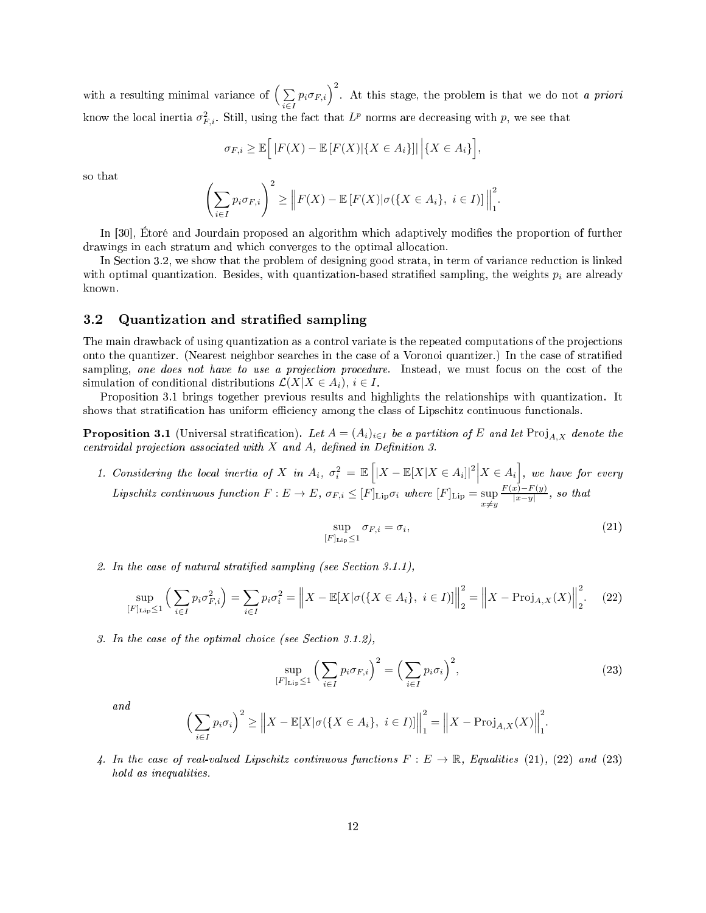with a resulting minimal variance of  $\left(\sum_{i=1}^{n} x_i\right)$  $\sum_{i\in I} p_i \sigma_{F,i}$ <sup>2</sup>. At this stage, the problem is that we do not a priori know the local inertia  $\sigma_{F,i}^2$ . Still, using the fact that  $L^p$  norms are decreasing with  $p$ , we see that

$$
\sigma_{F,i} \geq \mathbb{E}\Big[\left|F(X) - \mathbb{E}\left[F(X)\right|\{X \in A_i\}\right]\right|\Big| \{X \in A_i\}\Big],
$$

so that

$$
\left(\sum_{i\in I} p_i \sigma_{F,i}\right)^2 \geq \left\|F(X) - \mathbb{E}\left[F(X)|\sigma(\{X \in A_i\}, i \in I)\right]\right\|_1^2.
$$

In [30], Étoré and Jourdain proposed an algorithm which adaptively modifies the proportion of further drawings in each stratum and which converges to the optimal allocation.

In Section 3.2, we show that the problem of designing good strata, in term of variance reduction is linked with optimal quantization. Besides, with quantization-based stratified sampling, the weights  $p_i$  are already known.

## 3.2 Quantization and stratified sampling

The main drawback of using quantization as a control variate is the repeated computations of the projections onto the quantizer. (Nearest neighbor sear
hes in the ase of a Voronoi quantizer.) In the ase of stratied sampling, one does not have to use a projection procedure. Instead, we must focus on the cost of the simulation of conditional distributions  $\mathcal{L}(X|X \in A_i), i \in I$ .

Proposition 3.1 brings together previous results and highlights the relationships with quantization. It shows that stratification has uniform efficiency among the class of Lipschitz continuous functionals.

**Proposition 3.1** (Universal stratification). Let  $A = (A_i)_{i \in I}$  be a partition of E and let Proj<sub>A,X</sub> denote the centroidal projection associated with  $X$  and  $A$ , defined in Definition 3.

1. Considering the local inertia of X in  $A_i$ ,  $\sigma_i^2 = \mathbb{E}\left[ |X - \mathbb{E}[X|X \in A_i]|^2 \Big| X \in A_i \right]$ , we have for every Lipschitz continuous function  $F: E \to E$ ,  $\sigma_{F,i} \leq [F]_{\text{Lip}} \sigma_i$  where  $[F]_{\text{Lip}} = \sup_{x \neq y}$  $F(x)-F(y)$  $|x-y|$ , so that

$$
\sup_{[F]_{\text{Lip}} \le 1} \sigma_{F,i} = \sigma_i,\tag{21}
$$

2. In the case of natural stratified sampling (see Section 3.1.1),

$$
\sup_{[F]_{\text{Lip}} \le 1} \left( \sum_{i \in I} p_i \sigma_{F,i}^2 \right) = \sum_{i \in I} p_i \sigma_i^2 = \left\| X - \mathbb{E}[X | \sigma(\{ X \in A_i \}, i \in I)] \right\|_2^2 = \left\| X - \text{Proj}_{A,X}(X) \right\|_2^2. \tag{22}
$$

3. In the case of the optimal choice (see Section 3.1.2),

$$
\sup_{[F]_{\text{Lip}} \le 1} \left( \sum_{i \in I} p_i \sigma_{F,i} \right)^2 = \left( \sum_{i \in I} p_i \sigma_i \right)^2,\tag{23}
$$

and

$$
\left(\sum_{i\in I} p_i \sigma_i\right)^2 \ge \left\|X - \mathbb{E}[X]\sigma(\{X \in A_i\}, i \in I)]\right\|_1^2 = \left\|X - \text{Proj}_{A,X}(X)\right\|_1^2.
$$

4. In the case of real-valued Lipschitz continuous functions  $F : E \to \mathbb{R}$ , Equalities (21), (22) and (23) hold as inequalities.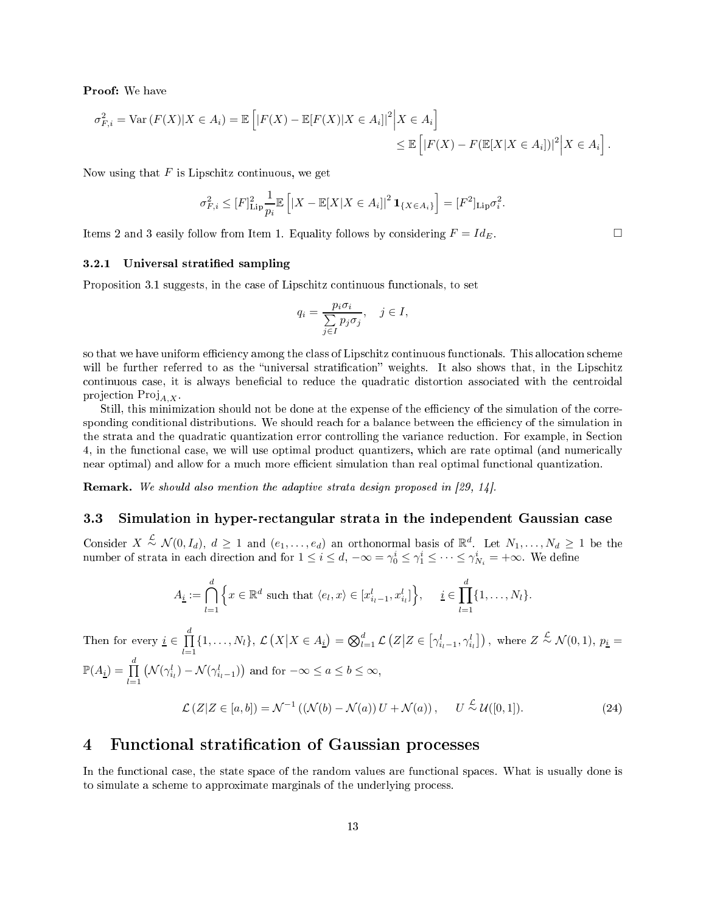Proof: We have

$$
\sigma_{F,i}^2 = \text{Var}\left(F(X)|X \in A_i\right) = \mathbb{E}\left[\left|F(X) - \mathbb{E}[F(X)|X \in A_i]\right|^2 \middle| X \in A_i\right] \le \mathbb{E}\left[\left|F(X) - F(\mathbb{E}[X|X \in A_i])\right|^2 \middle| X \in A_i\right].
$$

Now using that  $F$  is Lipschitz continuous, we get

$$
\sigma_{F,i}^2 \le [F]_{\rm Lip}^2 \frac{1}{p_i} \mathbb{E} \left[ |X - \mathbb{E}[X|X \in A_i]|^2 \mathbf{1}_{\{X \in A_i\}} \right] = [F^2]_{\rm Lip} \sigma_i^2.
$$

Items 2 and 3 easily follow from Item 1. Equality follows by considering  $F = Id_F$ .

#### 3.2.1 Universal stratified sampling

Proposition 3.1 suggests, in the case of Lipschitz continuous functionals, to set

$$
q_i = \frac{p_i \sigma_i}{\sum_{j \in I} p_j \sigma_j}, \quad j \in I,
$$

so that we have uniform efficiency among the class of Lipschitz continuous functionals. This allocation scheme will be further referred to as the "universal stratification" weights. It also shows that, in the Lipschitz continuous case, it is always beneficial to reduce the quadratic distortion associated with the centroidal projection  $Proj_{A,X}$ .

Still, this minimization should not be done at the expense of the efficiency of the simulation of the corresponding conditional distributions. We should reach for a balance between the efficiency of the simulation in the strata and the quadratic quantization error controlling the variance reduction. For example, in Section 4, in the functional case, we will use optimal product quantizers, which are rate optimal (and numerically near optimal) and allow for a much more efficient simulation than real optimal functional quantization.

Remark. We should also mention the adaptive strata design proposed in [29, 14].

#### Simulation in hyper-rectangular strata in the independent Gaussian case  $3.3$

Consider  $X \stackrel{\mathcal{L}}{\sim} \mathcal{N}(0, I_d)$ ,  $d \geq 1$  and  $(e_1, \ldots, e_d)$  an orthonormal basis of  $\mathbb{R}^d$ . Let  $N_1, \ldots, N_d \geq 1$  be the number of strata in each direction and for  $1 \le i \le d$ ,  $-\infty = \gamma_0^i \le \gamma_1^i \le \cdots \le \gamma_{N_i}^i = +\infty$ . We define

$$
A_{\underline{i}} := \bigcap_{l=1}^{d} \left\{ x \in \mathbb{R}^{d} \text{ such that } \langle e_{l}, x \rangle \in [x_{i_{l-1}}^{l}, x_{i_{l}}^{l}] \right\}, \quad \underline{i} \in \prod_{l=1}^{d} \{1, \dots, N_{l}\}.
$$
  
Then for every  $\underline{i} \in \prod_{l=1}^{d} \{1, \dots, N_{l}\}, \mathcal{L}(X | X \in A_{\underline{i}}) = \bigotimes_{l=1}^{d} \mathcal{L}(Z | Z \in [\gamma_{i_{l-1}}^{l}, \gamma_{i_{l}}^{l}])$ , where  $Z \stackrel{\mathcal{L}}{\sim} \mathcal{N}(0, 1), p_{\underline{i}} = \mathbb{P}(A_{\underline{i}}) = \prod_{l=1}^{d} \left( \mathcal{N}(\gamma_{i_{l}}^{l}) - \mathcal{N}(\gamma_{i_{l-1}}^{l}) \right)$  and for  $-\infty \le a \le b \le \infty$ ,  

$$
\mathcal{L}(Z | Z \in [a, b]) = \mathcal{N}^{-1} \left( \left( \mathcal{N}(b) - \mathcal{N}(a) \right) U + \mathcal{N}(a) \right), \quad U \stackrel{\mathcal{L}}{\sim} \mathcal{U}([0, 1]).
$$
(24)

#### Functional stratification of Gaussian processes  $\overline{\mathbf{4}}$

In the functional case, the state space of the random values are functional spaces. What is usually done is to simulate a scheme to approximate marginals of the underlying process.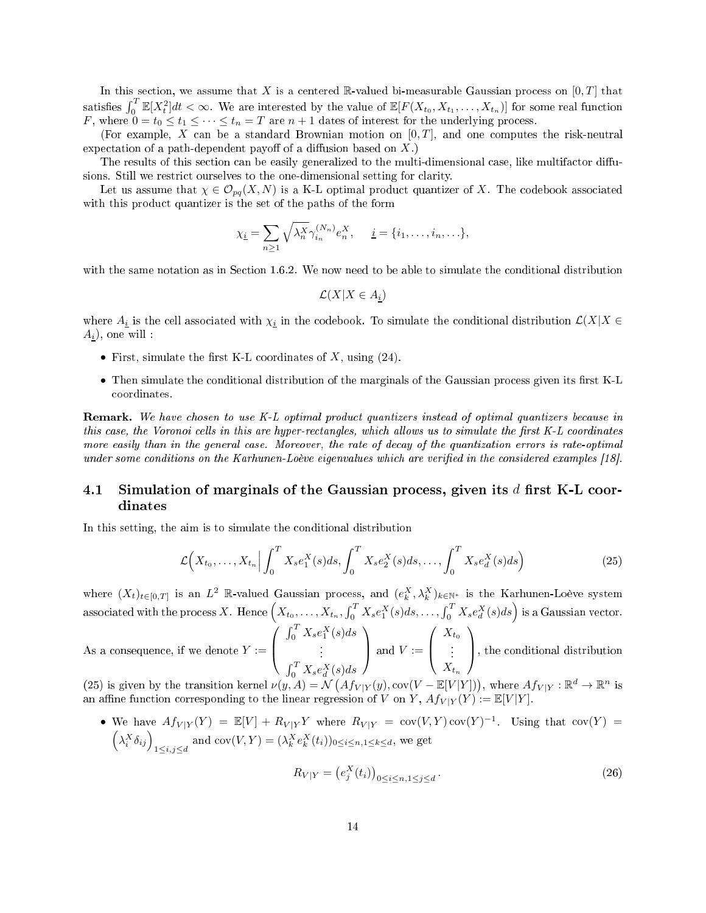In this section, we assume that X is a centered R-valued bi-measurable Gaussian process on  $[0, T]$  that satisfies  $\int_0^T \mathbb{E}[X_t^2]dt < \infty$ . We are interested by the value of  $\mathbb{E}[F(X_{t_0}, X_{t_1}, \ldots, X_{t_n})]$  for some real function F, where  $0 = t_0 \le t_1 \le \cdots \le t_n = T$  are  $n+1$  dates of interest for the underlying process.

(For example, X can be a standard Brownian motion on  $[0, T]$ , and one computes the risk-neutral expectation of a path-dependent payoff of a diffusion based on  $X$ .)

The results of this section can be easily generalized to the multi-dimensional case, like multifactor diffusions. Still we restrict ourselves to the one-dimensional setting for clarity.

Let us assume that  $\chi \in \mathcal{O}_{pq}(X,N)$  is a K-L optimal product quantizer of X. The codebook associated with this product quantizer is the set of the paths of the form

$$
\chi_{\underline{i}} = \sum_{n \geq 1} \sqrt{\lambda_n^X} \gamma_{i_n}^{(N_n)} e_n^X, \quad \underline{i} = \{i_1, \dots, i_n, \dots\},
$$

with the same notation as in Section 1.6.2. We now need to be able to simulate the conditional distribution

 $\mathcal{L}(X|X \in A_i)$ 

where  $A_i$  is the cell associated with  $\chi_i$  in the codebook. To simulate the conditional distribution  $\mathcal{L}(X|X \in$  $A_i$ , one will :

- First, simulate the first K-L coordinates of X, using  $(24)$ .
- Then simulate the conditional distribution of the marginals of the Gaussian process given its first K-L oordinates.

Remark. We have chosen to use K-L optimal product quantizers instead of optimal quantizers because in this case, the Voronoi cells in this are hyper-rectangles, which allows us to simulate the first K-L coordinates more easily than in the general case. Moreover, the rate of decay of the quantization errors is rate-optimal under some conditions on the Karhunen-Loève eigenvalues which are verified in the considered examples [18].

## 4.1 Simulation of marginals of the Gaussian process, given its d first K-L coordinates

In this setting, the aim is to simulate the conditional distribution

$$
\mathcal{L}\Big(X_{t_0},\ldots,X_{t_n}\Big|\int_0^T X_s e_1^X(s)ds,\int_0^T X_s e_2^X(s)ds,\ldots,\int_0^T X_s e_d^X(s)ds\Big) \tag{25}
$$

where  $(X_t)_{t\in[0,T]}$  is an  $L^2$  R-valued Gaussian process, and  $(e_k^X, \lambda_k^X)_{k\in\mathbb{N}^*}$  is the Karhunen-Loève system associated with the process  $X$ . Hence  $\left(X_{t_0},\ldots,X_{t_n},\int_0^T X_s e_1^X(s) ds, \ldots, \int_0^T X_s e_d^X(s) ds\right)$  is a Gaussian vector.

As a consequence, if we denote  $Y :=$  $\sqrt{ }$  $\left\lfloor \right\rfloor$  $\int_0^T X_s e_1^X(s) ds$  $\int_0^T X_s e_d^X(s) ds$  $\setminus$  $\int$  and  $V :=$  $\sqrt{ }$  $\overline{ }$  $X_{t_0}$ <br> $X_{t_n}$  $\setminus$ , the onditional distribution

(25) is given by the transition kernel  $\nu(y, A) = \mathcal{N}\left(A f_{V|Y}(y), \text{cov}(V - \mathbb{E}[V|Y])\right)$ , where  $A f_{V|Y} : \mathbb{R}^d \to \mathbb{R}^n$  is an affine function corresponding to the linear regression of V on Y,  $A f_{V|Y}(Y) := \mathbb{E}[V|Y]$ .

• We have  $Af_{V|Y}(Y) = \mathbb{E}[V] + R_{V|Y}Y$  where  $R_{V|Y} = cov(V,Y) cov(Y)^{-1}$ . Using that  $cov(Y) =$  $(\lambda_i^X \delta_{ij})$ <sub>1≤*i*,j≤d</sub> and cov $(V, Y) = (\lambda_k^X e_k^X(t_i))_{0 \le i \le n, 1 \le k \le d}$ , we get

$$
R_{V|Y} = (e_j^X(t_i))_{0 \le i \le n, 1 \le j \le d}.
$$
\n(26)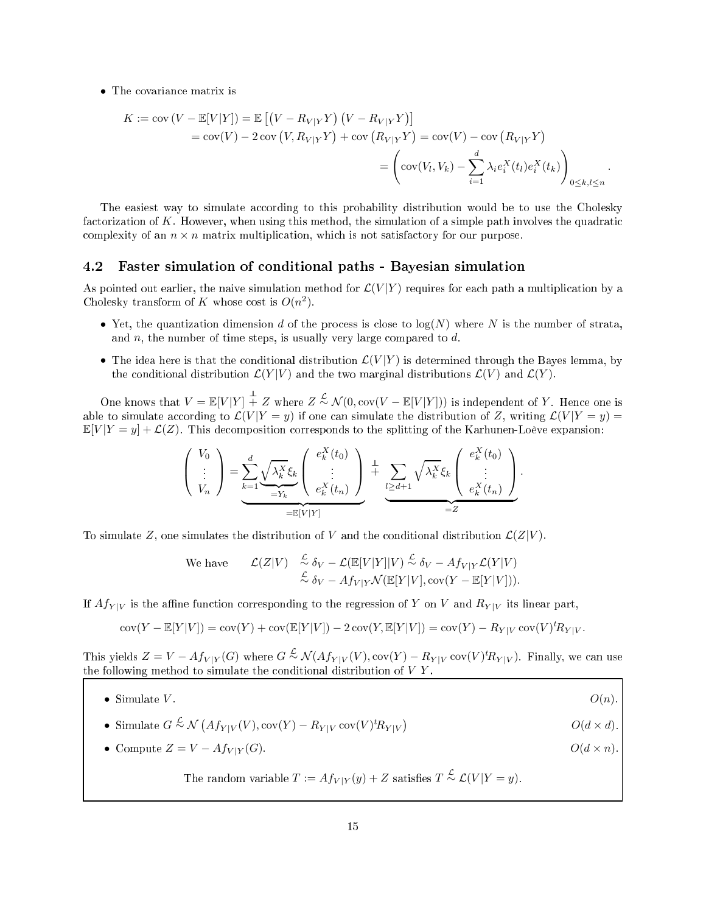• The covariance matrix is

$$
K := \text{cov}(V - \mathbb{E}[V|Y]) = \mathbb{E}\left[\left(V - R_{V|Y}Y\right)\left(V - R_{V|Y}Y\right)\right]
$$
  
=  $\text{cov}(V) - 2\text{ cov}(V, R_{V|Y}Y) + \text{cov}(R_{V|Y}Y) = \text{cov}(V) - \text{cov}(R_{V|Y}Y)$   
=  $\left(\text{cov}(V_i, V_k) - \sum_{i=1}^d \lambda_i e_i^X(t_i) e_i^X(t_k)\right)_{0 \le k, l \le n}.$ 

The easiest way to simulate according to this probability distribution would be to use the Cholesky factorization of K. However, when using this method, the simulation of a simple path involves the quadratic complexity of an  $n \times n$  matrix multiplication, which is not satisfactory for our purpose.

#### 4.2 Faster simulation of onditional paths - Bayesian simulation

As pointed out earlier, the naive simulation method for  $\mathcal{L}(V|Y)$  requires for each path a multiplication by a Cholesky transform of K whose cost is  $O(n^2)$ .

- Yet, the quantization dimension d of the process is close to  $log(N)$  where N is the number of strata, and  $n$ , the number of time steps, is usually very large compared to  $d$ .
- The idea here is that the conditional distribution  $\mathcal{L}(V|Y)$  is determined through the Bayes lemma, by the conditional distribution  $\mathcal{L}(Y|V)$  and the two marginal distributions  $\mathcal{L}(V)$  and  $\mathcal{L}(Y)$ .

One knows that  $V = \mathbb{E}[V|Y] + Z$  where  $Z \stackrel{\mathcal{L}}{\sim} \mathcal{N}(0, \text{cov}(V - \mathbb{E}[V|Y]))$  is independent of Y. Hence one is able to simulate according to  $\mathcal{L}(V | Y = y)$  if one can simulate the distribution of Z, writing  $\mathcal{L}(V | Y = y)$  =  $\mathbb{E}[V|Y=y] + \mathcal{L}(Z)$ . This decomposition corresponds to the splitting of the Karhunen-Loève expansion:

$$
\begin{pmatrix}\nV_0 \\
\vdots \\
V_n\n\end{pmatrix} = \underbrace{\sum_{k=1}^d \underbrace{\sqrt{\lambda_k^X} \xi_k}_{=Y_k} \begin{pmatrix}\ne_k^X(t_0) \\
\vdots \\
e_k^X(t_n)\n\end{pmatrix}}_{=\mathbb{E}[V|Y]} + \underbrace{\sum_{l \geq d+1} \sqrt{\lambda_k^X} \xi_k \begin{pmatrix}\ne_k^X(t_0) \\
\vdots \\
e_k^X(t_n)\n\end{pmatrix}}_{=Z}.
$$

To simulate Z, one simulates the distribution of V and the conditional distribution  $\mathcal{L}(Z|V)$ .

We have 
$$
\mathcal{L}(Z|V) \stackrel{\mathcal{L}}{\sim} \delta_V - \mathcal{L}(\mathbb{E}[V|Y]|V) \stackrel{\mathcal{L}}{\sim} \delta_V - Af_{V|Y} \mathcal{L}(Y|V)
$$
  
 $\stackrel{\mathcal{L}}{\sim} \delta_V - Af_{V|Y} \mathcal{N}(\mathbb{E}[Y|V], \text{cov}(Y - \mathbb{E}[Y|V])).$ 

If  $Af_{Y|V}$  is the affine function corresponding to the regression of Y on V and  $R_{Y|V}$  its linear part,

$$
cov(Y - \mathbb{E}[Y|V]) = cov(Y) + cov(\mathbb{E}[Y|V]) - 2 cov(Y, \mathbb{E}[Y|V]) = cov(Y) - R_{Y|V} cov(V)^{t} R_{Y|V}.
$$

This yields  $Z = V - Af_{V|Y}(G)$  where  $G \stackrel{\mathcal{L}}{\sim} \mathcal{N}(Af_{Y|V}(V), cov(Y) - R_{Y|V} cov(V)^t R_{Y|V})$ . Finally, we can use the following method to simulate the conditional distribution of  $V Y$ .

| • Simulate $V$ .                                                                                           | $O(n)$ .          |
|------------------------------------------------------------------------------------------------------------|-------------------|
| • Simulate $G \stackrel{\mathcal{L}}{\sim} \mathcal{N}(Af_{Y V}(V), cov(Y) - R_{Y V} cov(V)^t R_{Y V})$    | $O(d \times d)$ . |
| • Compute $Z = V - Af_{V Y}(G)$ .                                                                          | $O(d \times n)$ . |
| The random variable $T := Af_{V Y}(y) + Z$ satisfies $T \stackrel{\mathcal{L}}{\sim} \mathcal{L}(V Y=y)$ . |                   |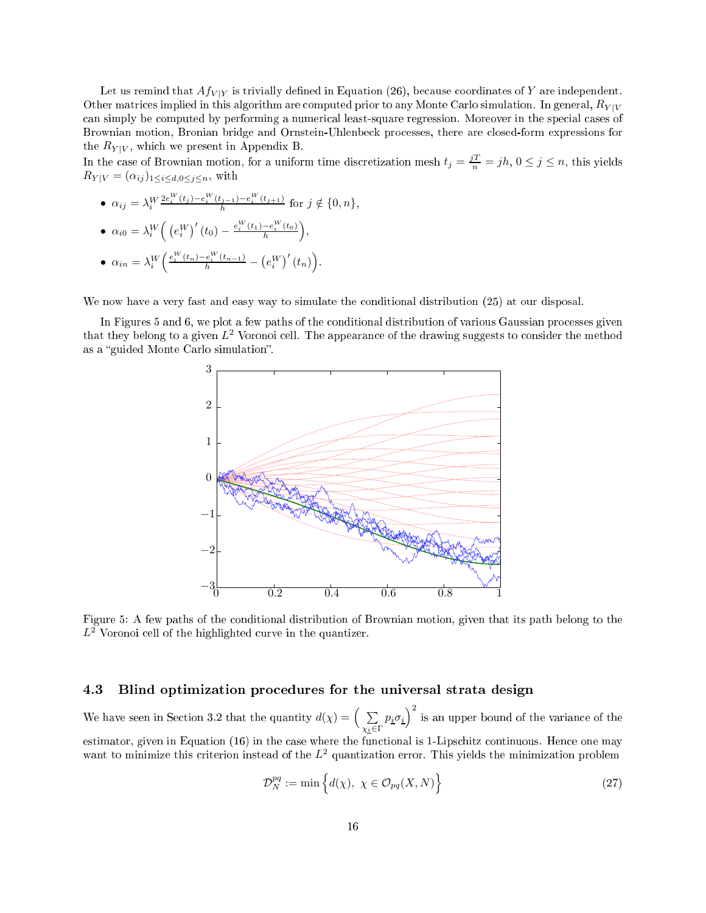Let us remind that  $Af_{V|Y}$  is trivially defined in Equation (26), because coordinates of Y are independent. Other matrices implied in this algorithm are computed prior to any Monte Carlo simulation. In general,  $R_{Y|Y}$ can simply be computed by performing a numerical least-square regression. Moreover in the special cases of Brownian motion, Bronian bridge and Ornstein-Uhlenbe
k pro
esses, there are losed-form expressions for the  $R_{Y|V}$ , which we present in Appendix B.

In the case of Brownian motion, for a uniform time discretization mesh  $t_j = \frac{jT}{n} = jh$ ,  $0 \le j \le n$ , this yields  $R_{Y|V} = (\alpha_{ij})_{1 \leq i \leq d, 0 \leq j \leq n}$ , with

• 
$$
\alpha_{ij} = \lambda_i^W \frac{2e_i^W(t_j) - e_i^W(t_{j-1}) - e_i^W(t_{j+1})}{h}
$$
 for  $j \notin \{0, n\},$   
\n•  $\alpha_{i0} = \lambda_i^W \left( (e_i^W)'(t_0) - \frac{e_i^W(t_1) - e_i^W(t_0)}{h} \right),$   
\n•  $\alpha_{in} = \lambda_i^W \left( \frac{e_i^W(t_n) - e_i^W(t_{n-1})}{h} - \left(e_i^W\right)'(t_n) \right).$ 

We now have a very fast and easy way to simulate the conditional distribution  $(25)$  at our disposal.

In Figures 5 and 6, we plot a few paths of the conditional distribution of various Gaussian processes given that they belong to a given  $L^2$  Voronoi cell. The appearance of the drawing suggests to consider the method as a "guided Monte Carlo simulation".



Figure 5: A few paths of the onditional distribution of Brownian motion, given that its path belong to the  $L^2$  Voronoi cell of the highlighted curve in the quantizer.

#### 4.3 Blind optimization pro
edures for the universal strata design

We have seen in Section 3.2 that the quantity  $d(\chi) = \begin{pmatrix} \n\end{pmatrix}$  $\left(\sum_{\chi_{\underline{i}} \in \Gamma} p_{\underline{i}} \sigma_{\underline{i}}\right)^2$  is an upper bound of the variance of the estimator, given in Equation (16) in the case where the functional is 1-Lipschitz continuous. Hence one may want to minimize this criterion instead of the  $L^2$  quantization error. This yields the minimization problem

$$
\mathcal{D}_N^{pq} := \min \left\{ d(\chi), \ \chi \in \mathcal{O}_{pq}(X, N) \right\} \tag{27}
$$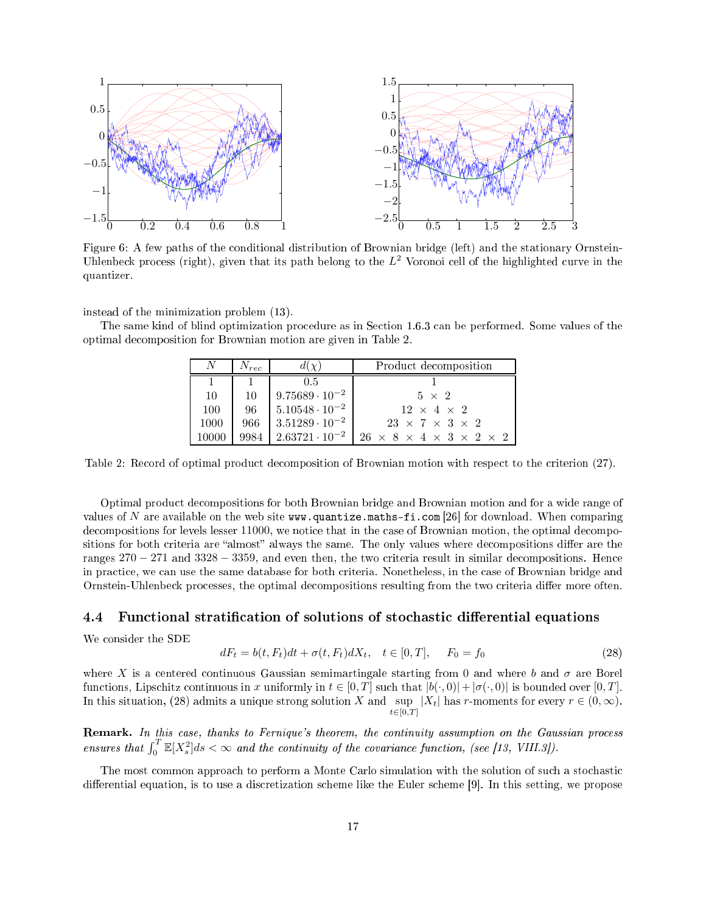

Figure 6: A few paths of the onditional distribution of Brownian bridge (left) and the stationary Ornstein-Uhlenbeck process (right), given that its path belong to the  $L^2$  Voronoi cell of the highlighted curve in the quantizer.

instead of the minimization problem (13).

The same kind of blind optimization procedure as in Section 1.6.3 can be performed. Some values of the optimal de
omposition for Brownian motion are given in Table 2.

|      | $N_{rec}$ |                         | Product decomposition                             |
|------|-----------|-------------------------|---------------------------------------------------|
|      |           | 0.5                     |                                                   |
| 10   | 10        | $9.75689 \cdot 10^{-2}$ | $5 \times 2$                                      |
| 100  | -96       | $5.10548 \cdot 10^{-2}$ | $12 \times 4 \times 2$                            |
| 1000 | 966       | $3.51289 \cdot 10^{-2}$ | $23 \times 7 \times 3 \times 2$                   |
|      |           | $2.63721 \cdot 10^{-2}$ | $26 \times 8 \times 4 \times 3 \times 2 \times 2$ |

Table 2: Record of optimal product decomposition of Brownian motion with respect to the criterion (27).

Optimal produ
t de
ompositions for both Brownian bridge and Brownian motion and for a wide range of values of N are available on the web site www.quantize.maths-fi.com [26] for download. When comparing decompositions for levels lesser 11000, we notice that in the case of Brownian motion, the optimal decompositions for both criteria are "almost" always the same. The only values where decompositions differ are the ranges  $270 - 271$  and  $3328 - 3359$ , and even then, the two criteria result in similar decompositions. Hence in pra
ti
e, we an use the same database for both riteria. Nonetheless, in the ase of Brownian bridge and Ornstein-Uhlenbeck processes, the optimal decompositions resulting from the two criteria differ more often.

#### 4.4 Functional stratification of solutions of stochastic differential equations

We onsider the SDE

$$
dF_t = b(t, F_t)dt + \sigma(t, F_t)dX_t, \quad t \in [0, T], \quad F_0 = f_0 \tag{28}
$$

where X is a centered continuous Gaussian semimartingale starting from 0 and where b and  $\sigma$  are Borel functions, Lipschitz continuous in x uniformly in  $t \in [0,T]$  such that  $|b(\cdot,0)| + |\sigma(\cdot,0)|$  is bounded over  $[0,T]$ . In this situation, (28) admits a unique strong solution X and  $\sup_{t\in[0,T]}|X_t|$  has r-moments for every  $r\in(0,\infty)$ .  $t{\in}[0,T]$ 

Remark. In this case, thanks to Fernique's theorem, the continuity assumption on the Gaussian process ensures that  $\int_0^T \mathbb{E}[X_s^2]ds < \infty$  and the continuity of the covariance function, (see [13, VIII.3]).

The most common approach to perform a Monte Carlo simulation with the solution of such a stochastic differential equation, is to use a discretization scheme like the Euler scheme [9]. In this setting, we propose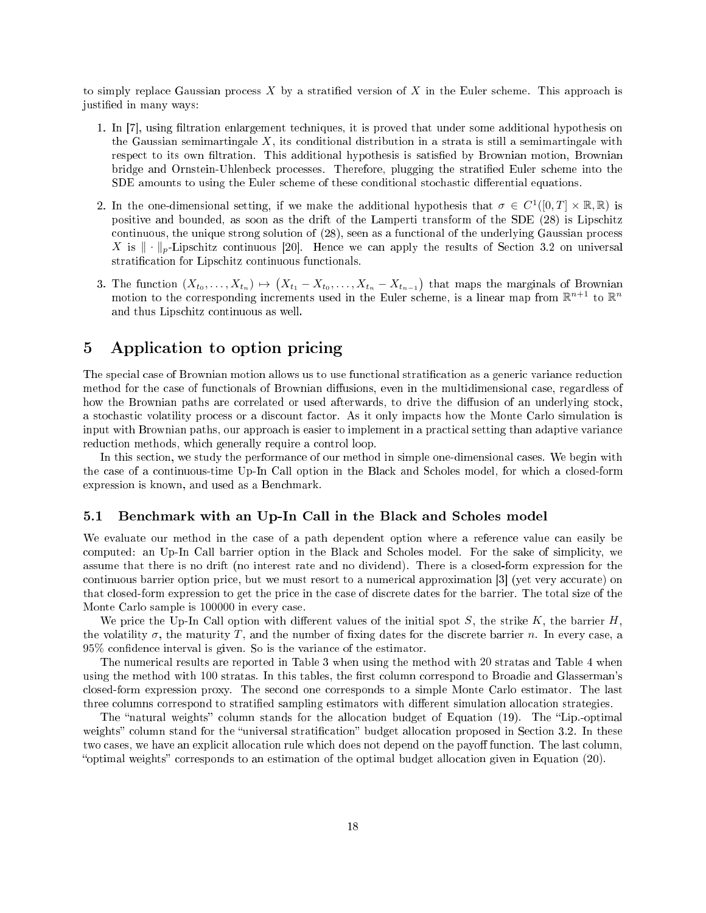to simply replace Gaussian process X by a stratified version of X in the Euler scheme. This approach is justified in many ways:

- 1. In [7], using filtration enlargement techniques, it is proved that under some additional hypothesis on the Gaussian semimartingale  $X$ , its conditional distribution in a strata is still a semimartingale with respect to its own filtration. This additional hypothesis is satisfied by Brownian motion, Brownian bridge and Ornstein-Uhlenbeck processes. Therefore, plugging the stratified Euler scheme into the SDE amounts to using the Euler scheme of these conditional stochastic differential equations.
- 2. In the one-dimensional setting, if we make the additional hypothesis that  $\sigma \in C^1([0,T] \times \mathbb{R}, \mathbb{R})$  is positive and bounded, as soon as the drift of the Lamperti transform of the SDE (28) is Lips
hitz continuous, the unique strong solution of (28), seen as a functional of the underlying Gaussian process X is  $\|\cdot\|_p$ -Lipschitz continuous [20]. Hence we can apply the results of Section 3.2 on universal stratification for Lipschitz continuous functionals.
- 3. The function  $(X_{t_0},...,X_{t_n}) \mapsto (X_{t_1} X_{t_0},...,X_{t_n} X_{t_{n-1}})$  that maps the marginals of Brownian motion to the corresponding increments used in the Euler scheme, is a linear map from  $\mathbb{R}^{n+1}$  to  $\mathbb{R}^n$ and thus Lips
hitz ontinuous as well.

# 5 Application to option pricing

The special case of Brownian motion allows us to use functional stratification as a generic variance reduction method for the case of functionals of Brownian diffusions, even in the multidimensional case, regardless of how the Brownian paths are correlated or used afterwards, to drive the diffusion of an underlying stock a stochastic volatility process or a discount factor. As it only impacts how the Monte Carlo simulation is input with Brownian paths, our approach is easier to implement in a practical setting than adaptive variance reduction methods, which generally require a control loop.

In this section, we study the performance of our method in simple one-dimensional cases. We begin with the case of a continuous-time Up-In Call option in the Black and Scholes model, for which a closed-form expression is known, and used as a Ben
hmark.

#### Benchmark with an Up-In Call in the Black and Scholes model  $5.1$

We evaluate our method in the case of a path dependent option where a reference value can easily be computed: an Up-In Call barrier option in the Black and Scholes model. For the sake of simplicity, we assume that there is no drift (no interest rate and no dividend). There is a losed-form expression for the continuous barrier option price, but we must resort to a numerical approximation [3] (yet very accurate) on that closed-form expression to get the price in the case of discrete dates for the barrier. The total size of the Monte Carlo sample is 100000 in every ase.

We price the Up-In Call option with different values of the initial spot  $S$ , the strike  $K$ , the barrier  $H$ . the volatility  $\sigma$ , the maturity T, and the number of fixing dates for the discrete barrier n. In every case, a 95% confidence interval is given. So is the variance of the estimator.

The numerical results are reported in Table 3 when using the method with 20 stratas and Table 4 when using the method with 100 stratas. In this tables, the first column correspond to Broadie and Glasserman's closed-form expression proxy. The second one corresponds to a simple Monte Carlo estimator. The last three columns correspond to stratified sampling estimators with different simulation allocation strategies.

The "natural weights" column stands for the allocation budget of Equation (19). The "Lip.-optimal" weights" column stand for the "universal stratification" budget allocation proposed in Section 3.2. In these two cases, we have an explicit allocation rule which does not depend on the payoff function. The last column. "optimal weights" corresponds to an estimation of the optimal budget allocation given in Equation (20).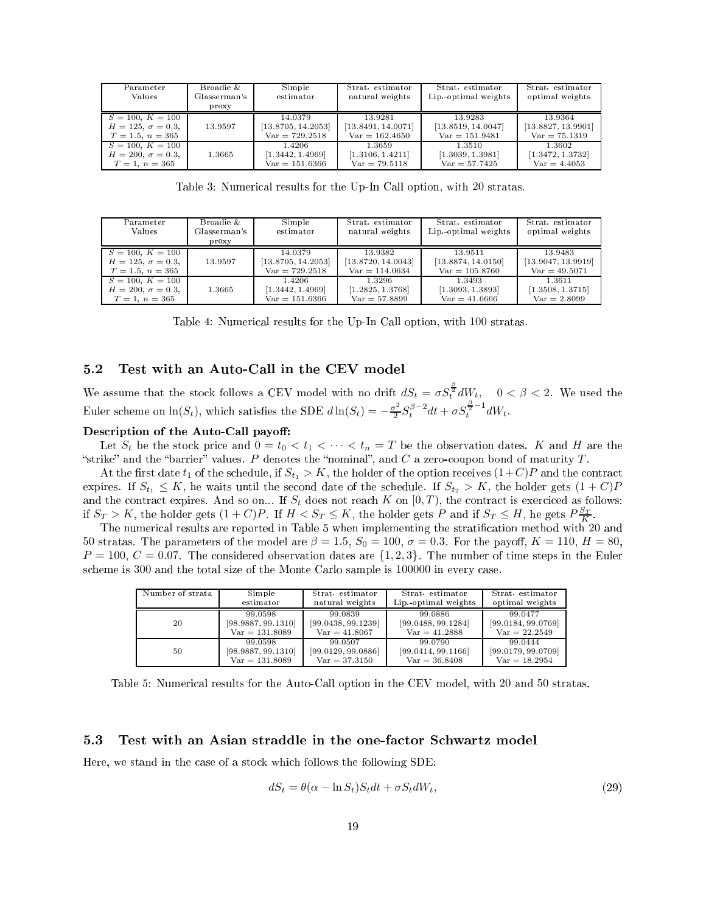| Parameter                 | Broadie &    | Simple             | Strat, estimator   | Strat, estimator     | Strat, estimator   |
|---------------------------|--------------|--------------------|--------------------|----------------------|--------------------|
| Values                    | Glasserman's | estimator          | natural weights    | Lip. optimal weights | optimal weights    |
|                           | proxy        |                    |                    |                      |                    |
| $S = 100, K = 100$        | 13.9597      | 14.0379            | 13.9281            | 13.9283              | 13.9364            |
| $H = 125, \sigma = 0.3$ . |              | [13.8705, 14.2053] | [13.8491, 14.0071] | [13.8519, 14.0047]   | [13.8827, 13.9901] |
| $T = 1.5, n = 365$        |              | $Var = 729.2518$   | $Var = 162.4650$   | $Var = 151.9481$     | $Var = 75.1319$    |
| $S = 100, K = 100$        | 1.3665       | 1.4206             | 1.3659             | 1.3510               | 1.3602             |
| $H = 200, \sigma = 0.3$   |              | [1.3442, 1.4969]   | [1.3106, 1.4211]   | [1.3039, 1.3981]     | [1.3472, 1.3732]   |
| $T=1, n=365$              |              | $Var = 151.6366$   | $Var = 79.5118$    | $Var = 57.7425$      | $Var = 4.4053$     |

Table 3: Numerical results for the Up-In Call option, with 20 stratas.

| Parameter<br><b>Values</b> | Broadie &<br>Glasserman's<br>proxy | Simple<br>estimator | Strat, estimator<br>natural weights | Strat, estimator<br>Lip.-optimal weights | Strat, estimator<br>optimal weights |
|----------------------------|------------------------------------|---------------------|-------------------------------------|------------------------------------------|-------------------------------------|
| $S = 100, K = 100$         | 13.9597                            | 14.0379             | 13.9382                             | 13.9511                                  | 13.9483                             |
| $H = 125, \sigma = 0.3,$   |                                    | [13.8705, 14.2053]  | [13.8720, 14.0043]                  | [13.8874, 14.0150]                       | [13.9047, 13.9919]                  |
| $T = 1.5$ , $n = 365$      |                                    | $Var = 729.2518$    | $Var = 114.0634$                    | $Var = 105.8760$                         | $Var = 49.5071$                     |
| $S = 100, K = 100$         | 1.3665                             | 1.4206              | 1.3296                              | 1.3493                                   | 1.3611                              |
| $H = 200, \sigma = 0.3$    |                                    | [1.3442, 1.4969]    | [1.2825, 1.3768]                    | [1.3093, 1.3893]                         | [1.3508, 1.3715]                    |
| $T=1$ , $n=365$            |                                    | $Var = 151.6366$    | $Var = 57.8899$                     | $Var = 41.6666$                          | $Var = 2.8099$                      |

Table 4: Numerical results for the Up-In Call option, with 100 stratas.

#### 5.2 Test with an Auto-Call in the CEV model

We assume that the stock follows a CEV model with no drift  $dS_t = \sigma S_t^{\frac{\beta}{2}} dW_t$ ,  $0 < \beta < 2$ . We used the Euler scheme on  $ln(S_t)$ , which satisfies the SDE  $d ln(S_t) = -\frac{\sigma^2}{2}$  $\frac{\sigma^2}{2} S_t^{\beta-2} dt + \sigma S_t^{\frac{\beta}{2}-1} dW_t.$ 

#### Description of the Auto-Call payoff:

Let  $S_t$  be the stock price and  $0 = t_0 < t_1 < \cdots < t_n = T$  be the observation dates. K and H are the "strike" and the "barrier" values. P denotes the "nominal", and C a zero-coupon bond of maturity  $T$ .

At the first date  $t_1$  of the schedule, if  $S_{t_1} > K$ , the holder of the option receives  $(1+C)P$  and the contract expires. If  $S_{t_1} \leq K$ , he waits until the second date of the schedule. If  $S_{t_2} > K$ , the holder gets  $(1+C)P$ and the contract expires. And so on... If  $S_t$  does not reach K on  $[0, T)$ , the contract is exerciced as follows: if  $S_T > K$ , the holder gets  $(1+C)P$ . If  $H < S_T \leq K$ , the holder gets P and if  $S_T \leq H$ , he gets  $P\frac{S_T}{K}$ .

The numerical results are reported in Table 5 when implementing the stratification method with 20 and 50 stratas. The parameters of the model are  $\beta = 1.5$ ,  $S_0 = 100$ ,  $\sigma = 0.3$ . For the payoff,  $K = 110$ ,  $H = 80$ ,  $P = 100, C = 0.07$ . The considered observation dates are  $\{1, 2, 3\}$ . The number of time steps in the Euler s
heme is 300 and the total size of the Monte Carlo sample is 100000 in every ase.

| Number of strata | Simple             | Strat. estimator   | Strat. estimator     | Strat, estimator   |
|------------------|--------------------|--------------------|----------------------|--------------------|
|                  | estimator          | natural weights    | Lip. optimal weights | optimal weights    |
| 20               | 99.0598            | 99.0839            | 99.0886              | 99.0477            |
|                  | [98.9887, 99.1310] | [99.0438, 99.1239] | [99.0488, 99.1284]   | [99.0184, 99.0769] |
|                  | $Var = 131.8089$   | $Var = 41.8067$    | $Var = 41.2888$      | $Var = 22.2549$    |
| 50               | 99.0598            | 99.0507            | 99.0790              | 99.0444            |
|                  | [98.9887, 99.1310] | [99.0129, 99.0886] | [99.0414, 99.1166]   | [99.0179, 99.0709] |
|                  | $Var = 131.8089$   | $Var = 37.3150$    | $Var = 36.8408$      | $Var = 18.2954$    |

Table 5: Numerical results for the Auto-Call option in the CEV model, with 20 and 50 stratas.

#### 5.3 Test with an Asian straddle in the one-factor Schwartz model

Here, we stand in the case of a stock which follows the following SDE:

$$
dS_t = \theta(\alpha - \ln S_t)S_t dt + \sigma S_t dW_t,
$$
\n(29)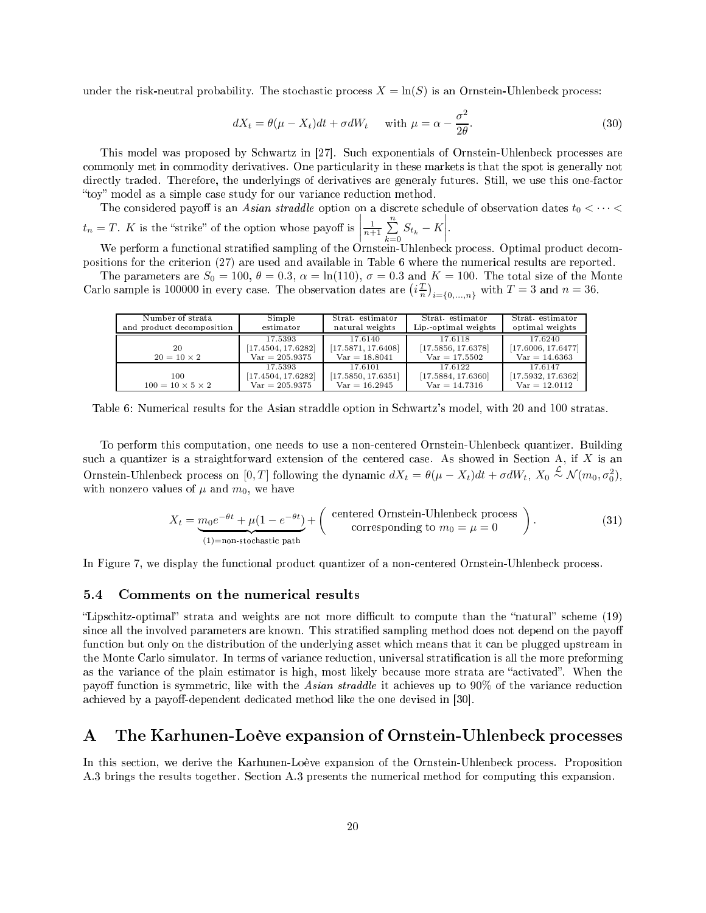under the risk-neutral probability. The stochastic process  $X = \ln(S)$  is an Ornstein-Uhlenbeck process:

$$
dX_t = \theta(\mu - X_t)dt + \sigma dW_t \quad \text{with } \mu = \alpha - \frac{\sigma^2}{2\theta}.
$$
 (30)

This model was proposed by Schwartz in [27]. Such exponentials of Ornstein-Uhlenbeck processes are ommonly met in ommodity derivatives. One parti
ularity in these markets is that the spot is generally not directly traded. Therefore, the underlyings of derivatives are generaly futures. Still, we use this one-factor "toy" model as a simple case study for our variance reduction method.

The considered payoff is an Asian straddle option on a discrete schedule of observation dates  $t_0 < \cdots <$  $t_n = T$  . K is the "strike" of the option whose payoff is  $\begin{array}{c} \begin{array}{c} \begin{array}{c} \end{array} \\ \begin{array}{c} \end{array} \end{array} \end{array}$  $\frac{1}{n+1}$   $\sum_{n=1}^{n}$  $\sum_{k=0} S_{t_k} - K$     .

we process. A characteristic stratified sampling of the Ornstein-University and produced produced produced and positions for the criterion (27) are used and available in Table 6 where the numerical results are reported.

The parameters are  $S_0 = 100, \theta = 0.3, \alpha = \ln(110), \sigma = 0.3$  and  $K = 100$ . The total size of the Monte Carlo sample is 100000 in every case. The observation dates are  $(i\frac{T}{n})_{i=\{0,\ldots,n\}}$  with  $T=3$  and  $n=36$ .

| Number of strata<br>and product decomposition | Simple<br>estimator                             | Strat, estimator<br>natural weights              | Strat. estimator<br>Lip. optimal weights         | Strat, estimator<br>optimal weights              |
|-----------------------------------------------|-------------------------------------------------|--------------------------------------------------|--------------------------------------------------|--------------------------------------------------|
| 20<br>$20 = 10 \times 2$                      | 17.5393<br>17.4504, 17.6282<br>$Var = 205.9375$ | 17.6140<br>[17.5871, 17.6408]<br>$Var = 18.8041$ | 17.6118<br>[17.5856, 17.6378]<br>$Var = 17.5502$ | 17.6240<br>[17.6006, 17.6477]<br>$Var = 14.6363$ |
| 100<br>$100 = 10 \times 5 \times 2$           | 17.5393<br>17.4504, 17.6282<br>$Var = 205.9375$ | 17.6101<br>[17.5850, 17.6351]<br>$Var = 16.2945$ | 17.6122<br>[17.5884, 17.6360]<br>$Var = 14.7316$ | 17.6147<br>[17.5932, 17.6362]<br>$Var = 12.0112$ |

Table 6: Numerical results for the Asian straddle option in Schwartz's model, with 20 and 100 stratas.

To perform this omputation, one needs to use a nonentered Ornstein-Uhlenbe
k quantizer. Building such a quantizer is a straightforward extension of the centered case. As showed in Section A, if  $X$  is an Ornstein-Uhlenbeck process on [0, T] following the dynamic  $dX_t = \theta(\mu - X_t)dt + \sigma dW_t$ ,  $X_0 \stackrel{\mathcal{L}}{\sim} \mathcal{N}(m_0, \sigma_0^2)$ , with nonzero values of  $\mu$  and  $m_0$ , we have

$$
X_t = \underbrace{m_0 e^{-\theta t} + \mu (1 - e^{-\theta t})}_{(1) = \text{non-stochastic path}} + \left( \begin{array}{c} \text{centered Ornstein-Uhlenbeck process} \\ \text{corresponding to } m_0 = \mu = 0 \end{array} \right). \tag{31}
$$

In Figure 7, we display the functional product quantizer of a non-centered Ornstein-Uhlenbeck process.

#### 5.4 Comments on the numerical results

"Lipschitz-optimal" strata and weights are not more difficult to compute than the "natural" scheme (19) since all the involved parameters are known. This stratified sampling method does not depend on the payoff fun
tion but only on the distribution of the underlying asset whi
h means that it an be plugged upstream in the Monte Carlo simulator. In terms of variance reduction, universal stratification is all the more preforming as the variance of the plain estimator is high, most likely because more strata are "activated". When the payoff function is symmetric, like with the *Asian straddle* it achieves up to 90% of the variance reduction achieved by a payoff-dependent dedicated method like the one devised in [30].

## A The Karhunen-Loève expansion of Ornstein-Uhlenbe
k pro
esses

In this section, we derive the Karhunen-Loève expansion of the Ornstein-Uhlenbeck process. Proposition A.3 brings the results together. Section A.3 presents the numerical method for computing this expansion.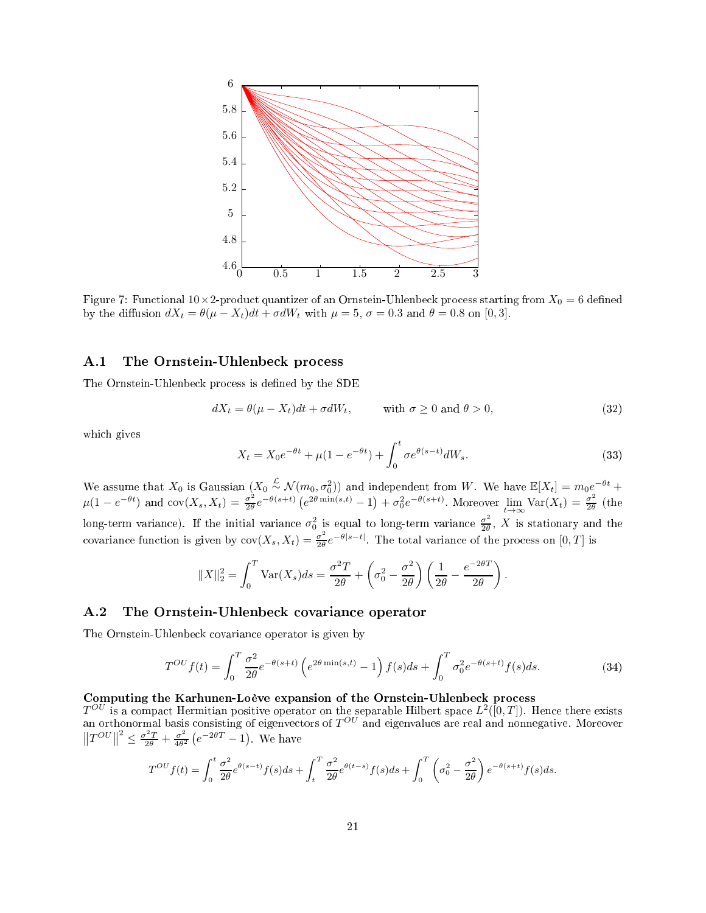

Figure 7: Functional  $10 \times 2$ -product quantizer of an Ornstein-Uhlenbeck process starting from  $X_0 = 6$  defined by the diffusion  $dX_t = \theta(\mu - X_t)dt + \sigma dW_t$  with  $\mu = 5$ ,  $\sigma = 0.3$  and  $\theta = 0.8$  on [0,3].

#### A.1 The Ornstein-Uhlenbe
k pro
ess

The Ornstein-Uhlenbeck process is defined by the SDE

$$
dX_t = \theta(\mu - X_t)dt + \sigma dW_t, \quad \text{with } \sigma \ge 0 \text{ and } \theta > 0,
$$
\n(32)

whi
h gives

$$
X_t = X_0 e^{-\theta t} + \mu (1 - e^{-\theta t}) + \int_0^t \sigma e^{\theta(s-t)} dW_s.
$$
 (33)

We assume that  $X_0$  is Gaussian  $(X_0 \overset{\mathcal{L}}{\sim} \mathcal{N}(m_0, \sigma_0^2))$  and independent from W. We have  $\mathbb{E}[X_t] = m_0 e^{-\theta t} +$  $\mu(1 - e^{-\theta t})$  and  $cov(X_s, X_t) = \frac{\sigma^2}{2\theta}$  $\frac{\sigma^2}{2\theta}e^{-\theta(s+t)}\left(e^{2\theta\min(s,t)}-1\right)+\sigma_0^2e^{-\theta(s+t)}$ . Moreover  $\lim_{t\to\infty} \text{Var}(X_t) = \frac{\sigma^2}{2\theta}$  $2\theta$  (circ long-term variance). If the initial variance  $\sigma_0^2$  is equal to long-term variance  $\frac{\sigma^2}{2\theta}$  $\frac{\sigma^2}{2\theta}$ , X is stationary and the covariance function is given by  $\text{cov}(X_s, X_t) = \frac{\sigma^2}{2\theta}$  $\frac{\sigma^2}{2\theta}e^{-\theta|s-t|}$ . The total variance of the process on  $[0,T]$  is

$$
||X||_2^2 = \int_0^T \text{Var}(X_s)ds = \frac{\sigma^2 T}{2\theta} + \left(\sigma_0^2 - \frac{\sigma^2}{2\theta}\right)\left(\frac{1}{2\theta} - \frac{e^{-2\theta T}}{2\theta}\right).
$$

#### A.2 The Ornstein-Uhlenbe
k ovarian
e operator

The Ornstein-Uhlenbe
k ovarian
e operator is given by

$$
T^{OU}f(t) = \int_0^T \frac{\sigma^2}{2\theta} e^{-\theta(s+t)} \left( e^{2\theta \min(s,t)} - 1 \right) f(s)ds + \int_0^T \sigma_0^2 e^{-\theta(s+t)} f(s)ds.
$$
 (34)

 $T^{OU}$  is a compact Hermitian positive operator on the separable Hilbert space  $L^2([0,T])$ . Hence there exists an orthonormal basis consisting of eigenvectors of  $T^{OU}$  and eigenvalues are real and nonnegative. Moreover  $||T^{OU}||^2 \le \frac{\sigma^2 T}{2\theta} + \frac{\sigma^2}{4\theta^2} (e^{-2\theta T} - 1)$ . We have  $\frac{\sigma^2}{4\theta^2}\left(e^{-2\theta T}-1\right)$ . We have

$$
T^{OU}f(t) = \int_0^t \frac{\sigma^2}{2\theta} e^{\theta(s-t)} f(s) ds + \int_t^T \frac{\sigma^2}{2\theta} e^{\theta(t-s)} f(s) ds + \int_0^T \left(\sigma_0^2 - \frac{\sigma^2}{2\theta}\right) e^{-\theta(s+t)} f(s) ds.
$$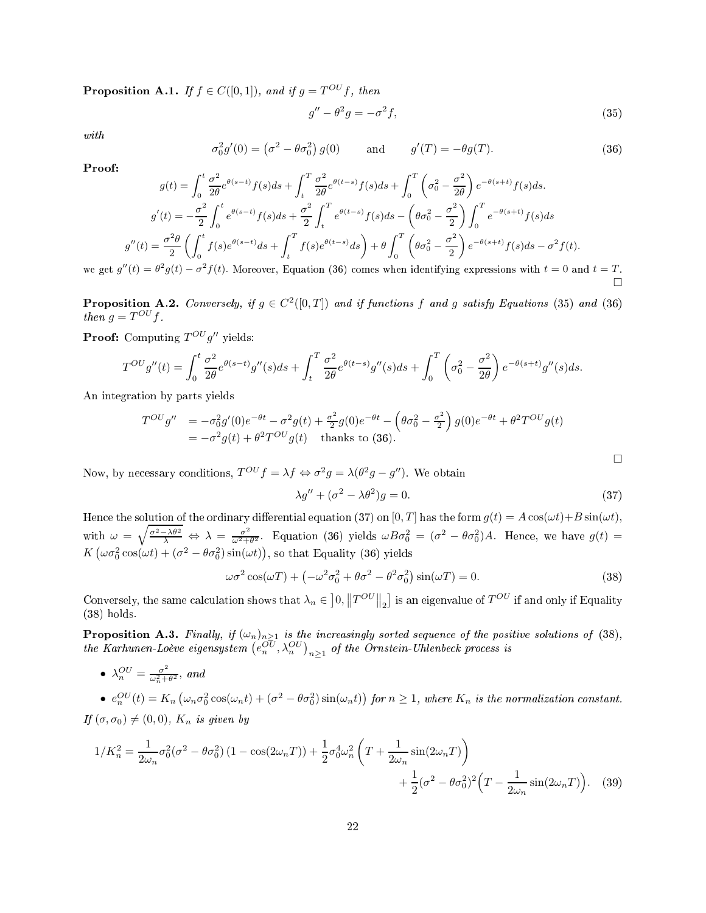**Proposition A.1.** If  $f \in C([0,1])$ , and if  $g = T^{OU}f$ , then

$$
g'' - \theta^2 g = -\sigma^2 f,\tag{35}
$$

with

$$
\sigma_0^2 g'(0) = (\sigma^2 - \theta \sigma_0^2) g(0) \quad \text{and} \quad g'(T) = -\theta g(T). \tag{36}
$$

Proof:

$$
g(t) = \int_0^t \frac{\sigma^2}{2\theta} e^{\theta(s-t)} f(s) ds + \int_t^T \frac{\sigma^2}{2\theta} e^{\theta(t-s)} f(s) ds + \int_0^T \left(\sigma_0^2 - \frac{\sigma^2}{2\theta}\right) e^{-\theta(s+t)} f(s) ds.
$$
  

$$
g'(t) = -\frac{\sigma^2}{2} \int_0^t e^{\theta(s-t)} f(s) ds + \frac{\sigma^2}{2} \int_t^T e^{\theta(t-s)} f(s) ds - \left(\theta \sigma_0^2 - \frac{\sigma^2}{2}\right) \int_0^T e^{-\theta(s+t)} f(s) ds
$$
  

$$
g''(t) = \frac{\sigma^2 \theta}{2} \left(\int_0^t f(s) e^{\theta(s-t)} ds + \int_t^T f(s) e^{\theta(t-s)} ds\right) + \theta \int_0^T \left(\theta \sigma_0^2 - \frac{\sigma^2}{2}\right) e^{-\theta(s+t)} f(s) ds - \sigma^2 f(t).
$$
  

$$
g''(t) = \theta^2 g(t) - \sigma^2 f(t).
$$

we get  $g''(t) = \theta^2 g(t) - \sigma^2 f(t)$ . Moreover, Equation (36) comes when identifying expressions with  $t = 0$  and  $t = T$ .  $\Box$ 

**Proposition A.2.** Conversely, if  $g \in C^2([0,T])$  and if functions f and g satisfy Equations (35) and (36) then  $g = T^{OU}f$ .

**Proof:** Computing  $T^{OU}g''$  yields:

$$
T^{OU}g''(t) = \int_0^t \frac{\sigma^2}{2\theta} e^{\theta(s-t)}g''(s)ds + \int_t^T \frac{\sigma^2}{2\theta} e^{\theta(t-s)}g''(s)ds + \int_0^T \left(\sigma_0^2 - \frac{\sigma^2}{2\theta}\right) e^{-\theta(s+t)}g''(s)ds.
$$

An integration by parts yields

$$
T^{OU}g'' = -\sigma_0^2 g'(0)e^{-\theta t} - \sigma^2 g(t) + \frac{\sigma^2}{2}g(0)e^{-\theta t} - (\theta \sigma_0^2 - \frac{\sigma^2}{2}) g(0)e^{-\theta t} + \theta^2 T^{OU} g(t)
$$
  
=  $-\sigma^2 g(t) + \theta^2 T^{OU} g(t)$  thanks to (36).

Now, by necessary conditions,  $T^{OU}f = \lambda f \Leftrightarrow \sigma^2 g = \lambda(\theta^2 g - g'')$ . We obtain

$$
\lambda g'' + (\sigma^2 - \lambda \theta^2)g = 0. \tag{37}
$$

Hence the solution of the ordinary differential equation (37) on [0, T] has the form  $g(t) = A \cos(\omega t) + B \sin(\omega t)$ , with  $\omega = \sqrt{\frac{\sigma^2 - \lambda \theta^2}{\lambda}} \Leftrightarrow \lambda = \frac{\sigma^2}{\omega^2 + \lambda}$  $\frac{\sigma^2}{\omega^2+\theta^2}$ . Equation (36) yields  $\omega B \sigma_0^2 = (\sigma^2 - \theta \sigma_0^2)A$ . Hence, we have  $g(t) =$  $K(\omega\sigma_0^2\cos(\omega t) + (\sigma^2 - \theta\sigma_0^2)\sin(\omega t)),$  so that Equality (36) yields

$$
\omega \sigma^2 \cos(\omega T) + \left(-\omega^2 \sigma_0^2 + \theta \sigma^2 - \theta^2 \sigma_0^2\right) \sin(\omega T) = 0. \tag{38}
$$

Conversely, the same calculation shows that  $\lambda_n \in [0, ||T^{OU}||_2]$  is an eigenvalue of  $T^{OU}$  if and only if Equality (38) holds.

**Proposition A.3.** Finally, if  $(\omega_n)_{n\geq 1}$  is the increasingly sorted sequence of the positive solutions of  $(38)$ , the Karhunen-Loève eigensystem  $(e_n^{\overline{OU}}, \lambda_n^{OU})_{n\geq 1}$  of the Ornstein-Uhlenbeck process is

 $\bullet$   $\lambda_n^{OU} = \frac{\sigma^2}{\omega_n^2 + \cdots}$  $\frac{\sigma^2}{\omega_n^2 + \theta^2}$ , and

•  $e_n^{OU}(t) = K_n \left( \omega_n \sigma_0^2 \cos(\omega_n t) + (\sigma^2 - \theta \sigma_0^2) \sin(\omega_n t) \right)$  for  $n \ge 1$ , where  $K_n$  is the normalization constant. If  $(\sigma, \sigma_0) \neq (0, 0)$ ,  $K_n$  is given by

$$
1/K_n^2 = \frac{1}{2\omega_n} \sigma_0^2 (\sigma^2 - \theta \sigma_0^2) (1 - \cos(2\omega_n T)) + \frac{1}{2} \sigma_0^4 \omega_n^2 \left( T + \frac{1}{2\omega_n} \sin(2\omega_n T) \right) + \frac{1}{2} (\sigma^2 - \theta \sigma_0^2)^2 \left( T - \frac{1}{2\omega_n} \sin(2\omega_n T) \right). \tag{39}
$$

 $\Box$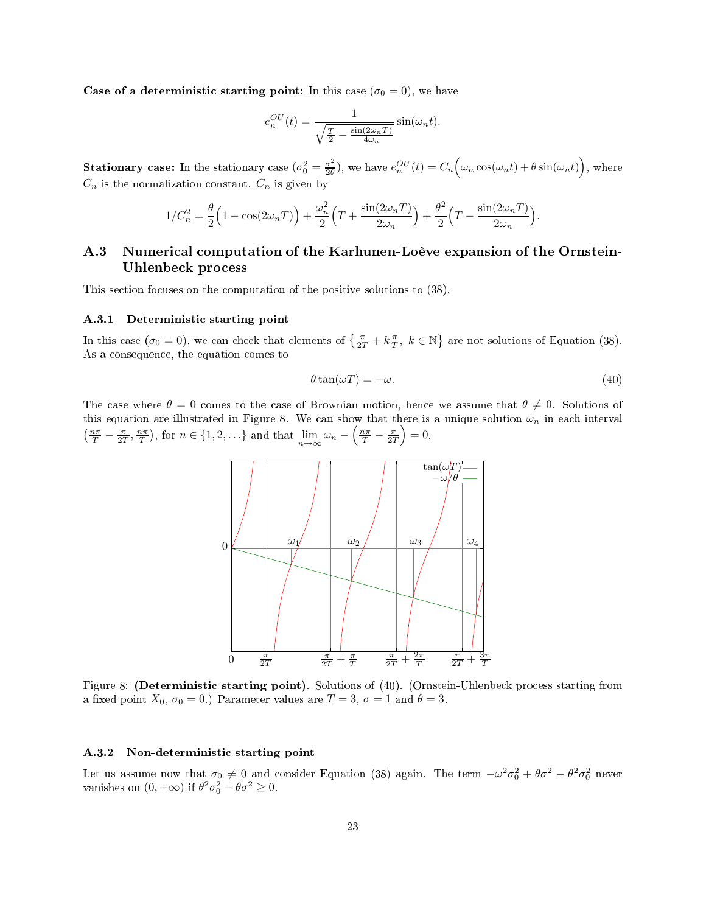Case of a deterministic starting point: In this case  $(\sigma_0 = 0)$ , we have

$$
e_n^{OU}(t) = \frac{1}{\sqrt{\frac{T}{2} - \frac{\sin(2\omega_n T)}{4\omega_n}}}\sin(\omega_n t).
$$

**Stationary case:** In the stationary case  $(\sigma_0^2 = \frac{\sigma^2}{2\theta})$  $\frac{\sigma^2}{2\theta}$ ), we have  $e_n^{OU}(t) = C_n \Big(\omega_n \cos(\omega_n t) + \theta \sin(\omega_n t) \Big)$ , where  $C_n$  is the normalization constant.  $C_n$  is given by

$$
1/C_n^2 = \frac{\theta}{2} \Big( 1 - \cos(2\omega_n T) \Big) + \frac{\omega_n^2}{2} \Big( T + \frac{\sin(2\omega_n T)}{2\omega_n} \Big) + \frac{\theta^2}{2} \Big( T - \frac{\sin(2\omega_n T)}{2\omega_n} \Big).
$$

## A.3 Numeri
al omputation of the Karhunen-Loève expansion of the Ornstein-Uhlenbeck process

This section focuses on the computation of the positive solutions to  $(38)$ .

#### A.3.1 Deterministic starting point

In this case  $(\sigma_0 = 0)$ , we can check that elements of  $\{\frac{\pi}{2T} + k\frac{\pi}{T}, k \in \mathbb{N}\}\)$  are not solutions of Equation (38). As a onsequen
e, the equation omes to

$$
\theta \tan(\omega T) = -\omega. \tag{40}
$$

The case where  $\theta = 0$  comes to the case of Brownian motion, hence we assume that  $\theta \neq 0$ . Solutions of this equation are illustrated in Figure 8. We can show that there is a unique solution  $\omega_n$  in each interval  $\left(\frac{n\pi}{T} - \frac{\pi}{2T}, \frac{n\pi}{T}\right)$ , for  $n \in \{1, 2, ...\}$  and that  $\lim_{n \to \infty} \omega_n - \left(\frac{n\pi}{T} - \frac{\pi}{2T}\right)$  $= 0.$ 



Figure 8: (Deterministic starting point). Solutions of (40). (Ornstein-Uhlenbeck process starting from a fixed point  $X_0$ ,  $\sigma_0 = 0$ .) Parameter values are  $T = 3$ ,  $\sigma = 1$  and  $\theta = 3$ .

#### A.3.2 Non-deterministic starting point

Let us assume now that  $\sigma_0 \neq 0$  and consider Equation (38) again. The term  $-\omega^2 \sigma_0^2 + \theta \sigma^2 - \theta^2 \sigma_0^2$  never vanishes on  $(0, +\infty)$  if  $\theta^2 \sigma_0^2 - \theta \sigma^2 \ge 0$ .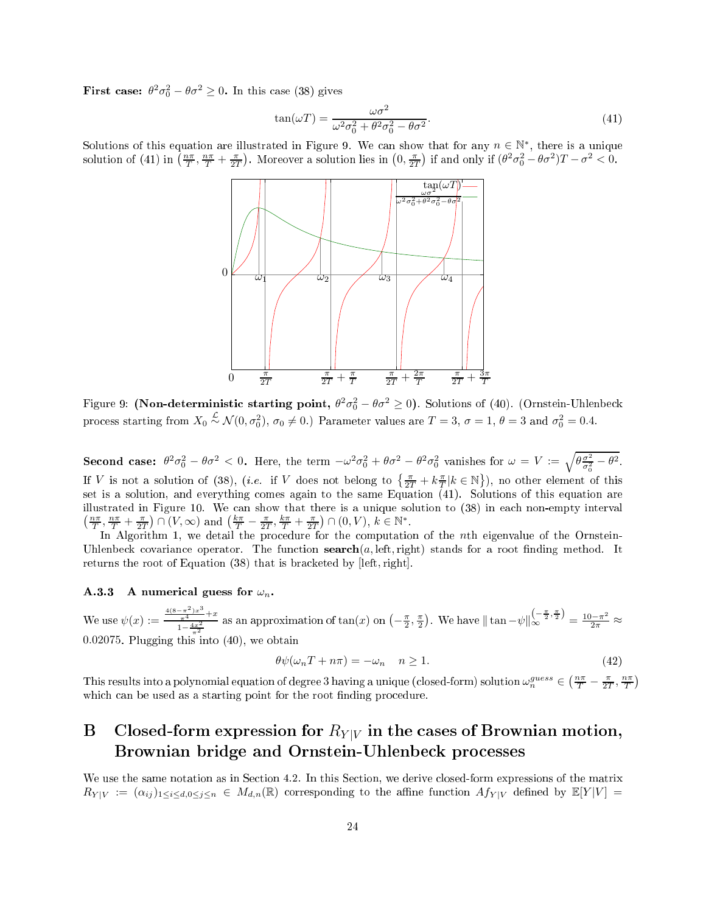**First case:**  $\theta^2 \sigma_0^2 - \theta \sigma^2 \ge 0$ . In this case (38) gives

$$
\tan(\omega T) = \frac{\omega \sigma^2}{\omega^2 \sigma_0^2 + \theta^2 \sigma_0^2 - \theta \sigma^2}.
$$
\n(41)

Solutions of this equation are illustrated in Figure 9. We can show that for any  $n \in \mathbb{N}^*$ , there is a unique solution of (41) in  $\left(\frac{n\pi}{T}, \frac{n\pi}{T} + \frac{\pi}{2T}\right)$ . Moreover a solution lies in  $\left(0, \frac{\pi}{2T}\right)$  if and only if  $\left(\theta^2\sigma_0^2 - \theta\sigma^2\right)T - \sigma^2 < 0$ .



Figure 9: (Non-deterministic starting point,  $\theta^2 \sigma_0^2 - \theta \sigma^2 \ge 0$ ). Solutions of (40). (Ornstein-Uhlenbeck process starting from  $X_0 \stackrel{\mathcal{L}}{\sim} \mathcal{N}(0, \sigma_0^2)$ ,  $\sigma_0 \neq 0$ .) Parameter values are  $T = 3$ ,  $\sigma = 1$ ,  $\theta = 3$  and  $\sigma_0^2 = 0.4$ .

Second case:  $\theta^2 \sigma_0^2 - \theta \sigma^2 < 0$ . Here, the term  $-\omega^2 \sigma_0^2 + \theta \sigma^2 - \theta^2 \sigma_0^2$  vanishes for  $\omega = V := \sqrt{\theta \frac{\sigma^2}{\sigma_0^2} - \theta^2}$ . If V is not a solution of (38), (i.e. if V does not belong to  $\left\{\frac{\pi}{2T} + k\frac{\pi}{T} |k \in \mathbb{N}\right\}$ ), no other element of this set is a solution, and everything omes again to the same Equation (41). Solutions of this equation are illustrated in Figure 10. We can show that there is a unique solution to (38) in each non-empty interval  $\left(\frac{n\pi}{T}, \frac{n\pi}{T} + \frac{\pi}{2T}\right) \cap (V, \infty)$  and  $\left(\frac{k\pi}{T} - \frac{\pi}{2T}, \frac{k\pi}{T} + \frac{\pi}{2T}\right) \cap (0, V), k \in \mathbb{N}^*$ .<br>In Algorithm 1, we detail the procedure for the computation of the *n*th eigenvalue of the Ornstein-

Uhlenbeck covariance operator. The function search $(a, \text{left}, \text{right})$  stands for a root finding method. It returns the root of Equation (38) that is bracketed by [left, right].

#### A.3.3 A numerical guess for  $\omega_n$ .

We use  $\psi(x):=$  $\frac{4(8-\pi^2)x^3}{\pi^4}+x$  $\frac{\pi^4}{\pi^4}$  as an approximation of  $\tan(x)$  on  $\left(-\frac{\pi}{2}, \frac{\pi}{2}\right)$ . We have  $\|\tan - \psi\|_{\infty}^{\left(-\frac{\pi}{2}, \frac{\pi}{2}\right)} = \frac{10 - \pi^2}{2\pi} \approx \frac{1 - \frac{4x^2}{2}}{2\pi}$ 0.02075. Plugging this into (40), we obtain

$$
\theta \psi(\omega_n T + n\pi) = -\omega_n \quad n \ge 1. \tag{42}
$$

This results into a polynomial equation of degree 3 having a unique (closed-form) solution  $\omega_n^{guess} \in \left(\frac{n\pi}{T} - \frac{\pi}{2T}, \frac{n\pi}{T}\right)$ which can be used as a starting point for the root finding procedure.

# B Closed-form expression for  $R_{Y|V}$  in the cases of Brownian motion, Brownian bridge and Ornstein-Uhlenbe
k pro
esses

We use the same notation as in Section 4.2. In this Section, we derive closed-form expressions of the matrix  $R_{Y|V} := (\alpha_{ij})_{1 \leq i \leq d, 0 \leq j \leq n} \in M_{d,n}(\mathbb{R})$  corresponding to the affine function  $Af_{Y|V}$  defined by  $\mathbb{E}[Y|V] =$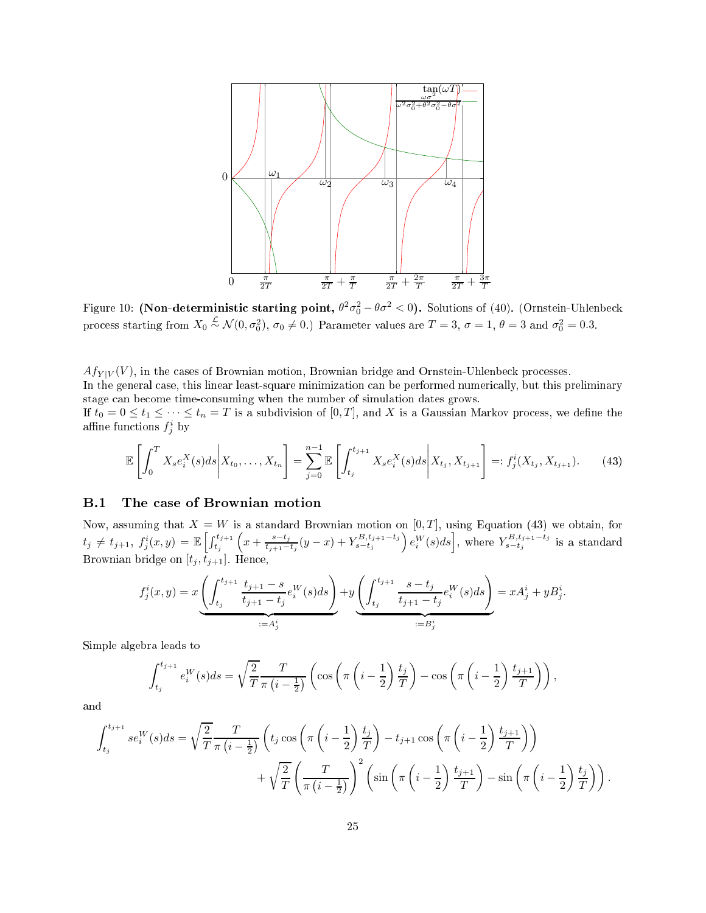

Figure 10: (Non-deterministic starting point,  $\theta^2\sigma_0^2-\theta\sigma^2 < 0$ ). Solutions of (40). (Ornstein-Uhlenbeck process starting from  $X_0 \stackrel{\mathcal{L}}{\sim} \mathcal{N}(0, \sigma_0^2)$ ,  $\sigma_0 \neq 0$ .) Parameter values are  $T = 3$ ,  $\sigma = 1$ ,  $\theta = 3$  and  $\sigma_0^2 = 0.3$ .

 $Af_{Y|V}(V)$ , in the cases of Brownian motion, Brownian bridge and Ornstein-Uhlenbeck processes. In the general case, this linear least-square minimization can be performed numerically, but this preliminary stage an be
ome timeonsuming when the number of simulation dates grows. If  $t_0 = 0 \le t_1 \le \cdots \le t_n = T$  is a subdivision of  $[0, T]$ , and X is a Gaussian Markov process, we define the affine functions  $f_j^i$  by

$$
\mathbb{E}\left[\int_{0}^{T} X_{s} e_{i}^{X}(s)ds \middle| X_{t_{0}},\ldots,X_{t_{n}}\right] = \sum_{j=0}^{n-1} \mathbb{E}\left[\int_{t_{j}}^{t_{j+1}} X_{s} e_{i}^{X}(s)ds \middle| X_{t_{j}},X_{t_{j+1}}\right] =: f_{j}^{i}(X_{t_{j}},X_{t_{j+1}}). \tag{43}
$$

## B.1 The ase of Brownian motion

Now, assuming that  $X = W$  is a standard Brownian motion on [0, T], using Equation (43) we obtain, for  $t_j \neq t_{j+1}, f_j^i(x,y) = \mathbb{E} \left[ \int_{t_j}^{t_{j+1}}$  $\left(x+\frac{s-t_j}{t_{\text{max}}} \right)$  $t_j \neq t_{j+1}, f_j^i(x, y) = \mathbb{E}\left[\int_{t_j}^{t_{j+1}} \left(x + \frac{s-t_j}{t_{j+1}-t_j}(y-x) + Y_{s-t_j}^{B,t_{j+1}-t_j}\right) e_i^W(s)ds\right],$  where  $Y_{s-t_j}^{B,t_{j+1}-t_j}$  is a standard Brownian bridge on  $[t_j, t_{j+1}]$ . Hence,

$$
f_j^i(x,y) = x \underbrace{\left(\int_{t_j}^{t_{j+1}} \frac{t_{j+1} - s}{t_{j+1} - t_j} e_i^W(s) ds\right)}_{:= A_j^i} + y \underbrace{\left(\int_{t_j}^{t_{j+1}} \frac{s - t_j}{t_{j+1} - t_j} e_i^W(s) ds\right)}_{:= B_j^i} = x A_j^i + y B_j^i.
$$

Simple algebra leads to

$$
\int_{t_j}^{t_{j+1}} e_i^W(s) ds = \sqrt{\frac{2}{T} \frac{T}{\pi (i - \frac{1}{2})}} \left( \cos \left( \pi \left( i - \frac{1}{2} \right) \frac{t_j}{T} \right) - \cos \left( \pi \left( i - \frac{1}{2} \right) \frac{t_{j+1}}{T} \right) \right),
$$

and

$$
\int_{t_j}^{t_{j+1}} se_i^W(s)ds = \sqrt{\frac{2}{T}} \frac{T}{\pi(i-\frac{1}{2})} \left( t_j \cos\left(\pi\left(i-\frac{1}{2}\right)\frac{t_j}{T}\right) - t_{j+1} \cos\left(\pi\left(i-\frac{1}{2}\right)\frac{t_{j+1}}{T}\right) \right) + \sqrt{\frac{2}{T}} \left( \frac{T}{\pi(i-\frac{1}{2})} \right)^2 \left( \sin\left(\pi\left(i-\frac{1}{2}\right)\frac{t_{j+1}}{T}\right) - \sin\left(\pi\left(i-\frac{1}{2}\right)\frac{t_j}{T}\right) \right).
$$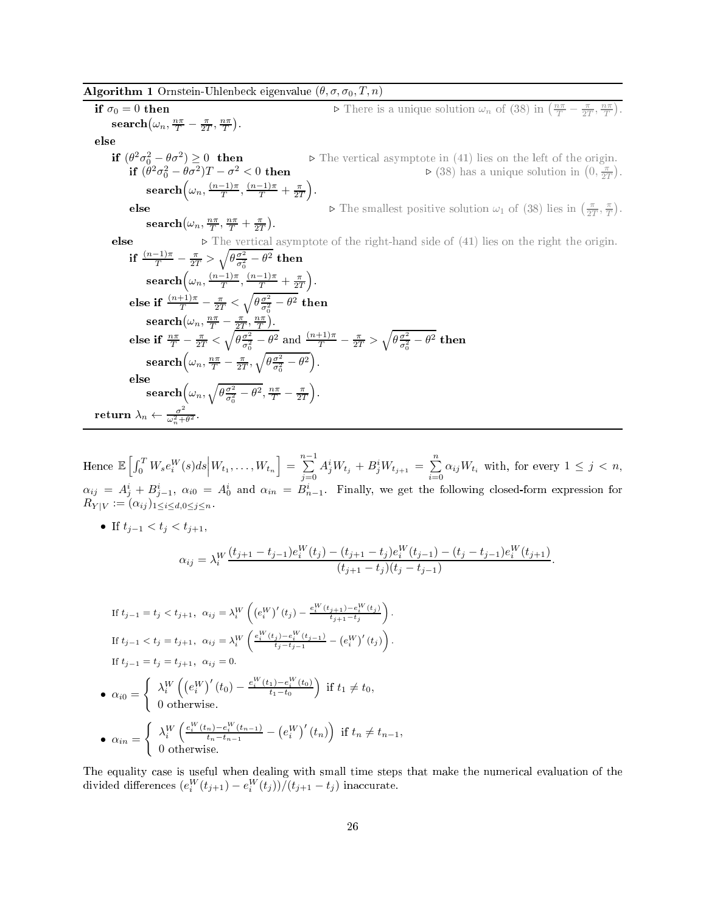**Algorithm 1** Ornstein-Uhlenbeck eigenvalue  $(\theta, \sigma, \sigma_0, T, n)$ 

if  $\sigma_0 = 0$  then  $\rho$  There is a unique solution  $\omega_n$  of (38) in  $\left(\frac{n\pi}{T} - \frac{\pi}{2T}, \frac{n\pi}{T}\right)$ .  $\operatorname{search}(\omega_n, \frac{n \pi}{T} - \frac{\pi}{2T}, \frac{n \pi}{T}).$ else if  $(\theta^2 \sigma_0^2 - \theta \sigma^2) \ge 0$  then  $\triangleright$  The vertical asymptote in (41) lies on the left of the origin. if  $(\theta^2 \sigma_0^2 - \theta \sigma^2)T - \sigma^2 < 0$  then  $\Rightarrow$  (38) has a unique solution in  $(0, \frac{\pi}{2T})$  $\triangleright$  (38) has a unique solution in  $(0, \frac{\pi}{2})$ .  $\mathrm{search}\big(\omega_n,\frac{(n-1)\pi}{T}$  $\frac{(-1)\pi}{T}, \frac{(n-1)\pi}{T} + \frac{\pi}{2T}$  . else  $\rho$  The smallest positive solution  $\omega_1$  of (38) lies in  $\left(\frac{\pi}{2T}, \frac{\pi}{T}\right)$ .  $\mathrm{search}\big(\omega_n,\frac{n\pi}{T},\frac{n\pi}{T}+\frac{\pi}{2T}\big).$ **else** ► The vertical asymptote of the right-hand side of  $(41)$  lies on the right the origin. if  $\frac{(n-1)\pi}{T}-\frac{\pi}{2T}>\sqrt{\theta\frac{\sigma^2}{\sigma_0^2}-\theta^2}$  then  $\mathrm{search}\big(\omega_n,\frac{(n-1)\pi}{T}\big)$  $\frac{(-1)\pi}{T}, \frac{(n-1)\pi}{T} + \frac{\pi}{2T}$  . else if  $\frac{(n+1)\pi}{T}-\frac{\pi}{2T}<\sqrt{\theta\frac{\sigma^2}{\sigma_0^2}-\theta^2}$  then search  $(\omega_n, \frac{n\pi}{T} - \frac{\pi}{2T}, \frac{n\pi}{T})$ .<br>else if  $\frac{n\pi}{T} - \frac{\pi}{2T} < \sqrt{\theta \frac{\sigma^2}{\sigma_0^2} - \theta^2}$  and  $\frac{(n+1)\pi}{T} - \frac{\pi}{2T} > \sqrt{\theta \frac{\sigma^2}{\sigma_0^2} - \theta^2}$  then  $\texttt{search}\Big(\omega_n,\frac{n\pi}{T}-\frac{\pi}{2T},\sqrt{\theta\frac{\sigma^2}{\sigma_0^2}-\theta^2}\Big).$ 0  $\text{\rm search}\Big(\omega_n, \sqrt{\theta \frac{\sigma^2}{\sigma_0^2} - \theta^2}, \frac{n\pi}{T} - \frac{\pi}{2T}\Big)$  . return  $\lambda_n \leftarrow \frac{\sigma^2}{\omega_n^2 + \theta^2}$ . 2

Hence  $\mathbb{E}\left[\int_0^T W_s e_i^W(s)ds \middle| W_{t_1}, \ldots, W_{t_n}\right] = \sum_{i=0}^{n-1}$  $j=0$  $A^i_j W_{t_j} + B^i_j W_{t_{j+1}} = \sum_{j=1}^n$  $\sum_{i=0} \alpha_{ij} W_{t_i}$  with, for every  $1 \leq j < n$ ,  $\alpha_{ij} = A_j^i + B_{j-1}^i$ ,  $\alpha_{i0} = A_0^i$  and  $\alpha_{in} = B_{n-1}^i$ . Finally, we get the following closed-form expression for  $R_{Y|V} := (\alpha_{ij})_{1 \le i \le d, 0 \le j \le n}$ .

• If 
$$
t_{j-1} < t_j < t_{j+1}
$$
,  
\n
$$
\alpha_{ij} = \lambda_i^W \frac{(t_{j+1} - t_{j-1})e_i^W(t_j) - (t_{j+1} - t_j)e_i^W(t_{j-1}) - (t_j - t_{j-1})e_i^W(t_{j+1})}{(t_{j+1} - t_j)(t_j - t_{j-1})}.
$$
\nIf  $t_{j-1} = t_j < t_{j+1}$ ,  $\alpha_{ij} = \lambda_i^W \left( \left( e_i^W \right)'(t_j) - \frac{e_i^W(t_{j+1}) - e_i^W(t_j)}{t_{j+1} - t_j} \right).$   
\nIf  $t_{j-1} < t_j = t_{j+1}$ ,  $\alpha_{ij} = \lambda_i^W \left( \frac{e_i^W(t_j) - e_i^W(t_{j-1})}{t_j - t_{j-1}} - \left( e_i^W \right)'(t_j) \right).$   
\nIf  $t_{j-1} = t_j = t_{j+1}$ ,  $\alpha_{ij} = 0$ .  
\n•  $\alpha_{i0} = \begin{cases} \lambda_i^W \left( \left( e_i^W \right)'(t_0) - \frac{e_i^W(t_1) - e_i^W(t_0)}{t_1 - t_0} \right) & \text{if } t_1 \neq t_0, \\ 0 & \text{otherwise.} \end{cases}$   
\n•  $\alpha_{in} = \begin{cases} \lambda_i^W \left( \frac{e_i^W(t_n) - e_i^W(t_{n-1})}{t_n - t_{n-1}} - \left( e_i^W \right)'(t_n) \right) & \text{if } t_n \neq t_{n-1}, \\ 0 & \text{otherwise.} \end{cases}$ 

0 otherwise.

The equality case is useful when dealing with small time steps that make the numerical evaluation of the divided differences  $(e_i^W(t_{j+1}) - e_i^W(t_j)) / (t_{j+1} - t_j)$  inaccurate.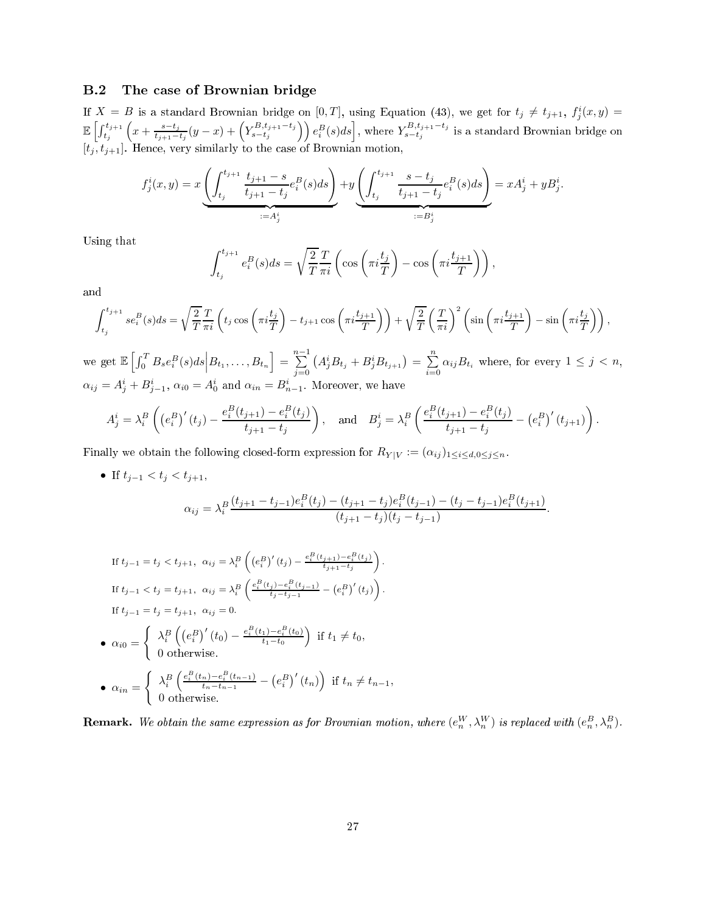## B.2 The ase of Brownian bridge

If  $X = B$  is a standard Brownian bridge on [0, T], using Equation (43), we get for  $t_j \neq t_{j+1}$ ,  $f_j^i(x, y) =$  $\mathbb{E}\left[\int_{t_j}^{t_{j+1}}$  $\left(x+\frac{s-t_j}{t_{i+1}-}\right)$  $\mathbb{E}\left[\int_{t_j}^{t_{j+1}}\left(x+\frac{s-t_j}{t_{j+1}-t_j}(y-x)+\left(Y_{s-t_j}^{B,t_{j+1}-t_j}\right)\right)e_i^B(s)ds\right],$  where  $Y_{s-t_j}^{B,t_{j+1}-t_j}$  is a standard Brownian bridge on  $[t_j,t_{j+1}]$ . Hence, very similarly to the case of Brownian motion,

$$
f_j^i(x,y) = x \underbrace{\left(\int_{t_j}^{t_{j+1}} \frac{t_{j+1} - s}{t_{j+1} - t_j} e_i^B(s) ds\right)}_{:= A_j^i} + y \underbrace{\left(\int_{t_j}^{t_{j+1}} \frac{s - t_j}{t_{j+1} - t_j} e_i^B(s) ds\right)}_{:= B_j^i} = x A_j^i + y B_j^i.
$$

Using that

$$
\int_{t_j}^{t_{j+1}} e_i^B(s)ds = \sqrt{\frac{2}{T}} \frac{T}{\pi i} \left( \cos\left(\pi i \frac{t_j}{T}\right) - \cos\left(\pi i \frac{t_{j+1}}{T}\right) \right),\,
$$

and

$$
\int_{t_j}^{t_{j+1}} s e_i^B(s) ds = \sqrt{\frac{2}{T} \frac{T}{\pi i}} \left( t_j \cos \left( \pi i \frac{t_j}{T} \right) - t_{j+1} \cos \left( \pi i \frac{t_{j+1}}{T} \right) \right) + \sqrt{\frac{2}{T}} \left( \frac{T}{\pi i} \right)^2 \left( \sin \left( \pi i \frac{t_{j+1}}{T} \right) - \sin \left( \pi i \frac{t_j}{T} \right) \right),
$$

we get  $\mathbb{E}\left[\int_0^T B_s e_i^B(s)ds \middle| B_{t_1}, \ldots, B_{t_n}\right] = \sum_{i=0}^{n-1}$  $j=0$  $(A_j^i B_{t_j} + B_j^i B_{t_{j+1}}) = \sum_{i=1}^n$  $\sum_{i=0} \alpha_{ij} B_{t_i}$  where, for every  $1 \leq j < n$ ,  $\alpha_{ij} = A_j^i + B_{j-1}^i$ ,  $\alpha_{i0} = A_0^i$  and  $\alpha_{in} = B_{n-1}^i$ . Moreover, we have

$$
A_j^i = \lambda_i^B \left( \left( e_i^B \right)'(t_j) - \frac{e_i^B(t_{j+1}) - e_i^B(t_j)}{t_{j+1} - t_j} \right), \text{ and } B_j^i = \lambda_i^B \left( \frac{e_i^B(t_{j+1}) - e_i^B(t_j)}{t_{j+1} - t_j} - \left( e_i^B \right)'(t_{j+1}) \right).
$$

Finally we obtain the following closed-form expression for  $R_{Y|V} := (\alpha_{ij})_{1 \leq i \leq d, 0 \leq j \leq n}$ .

• If  $t_{j-1} < t_j < t_{j+1}$ ,  $\alpha_{ij} = \lambda_i^B \frac{(t_{j+1} - t_{j-1})e_i^B(t_j) - (t_{j+1} - t_j)e_i^B(t_{j-1}) - (t_j - t_{j-1})e_i^B(t_{j+1})}{(t_j - t_j)(t_j + t_{j-1})}$  $\frac{(t_{j+1} - t_j)(t_j - t_{j-1})}{(t_{j+1} - t_j)(t_j - t_{j-1})}.$ 

If 
$$
t_{j-1} = t_j < t_{j+1}
$$
,  $\alpha_{ij} = \lambda_i^B \left( (e_i^B)'(t_j) - \frac{e_i^B(t_{j+1}) - e_i^B(t_j)}{t_{j+1} - t_j} \right)$ .  
\nIf  $t_{j-1} < t_j = t_{j+1}$ ,  $\alpha_{ij} = \lambda_i^B \left( \frac{e_i^B(t_j) - e_i^B(t_{j-1})}{t_j - t_{j-1}} - (e_i^B)'(t_j) \right)$ .  
\nIf  $t_{j-1} = t_j = t_{j+1}$ ,  $\alpha_{ij} = 0$ .  
\n•  $\alpha_{i0} = \begin{cases} \lambda_i^B \left( (e_i^B)'(t_0) - \frac{e_i^B(t_1) - e_i^B(t_0)}{t_1 - t_0} \right) & \text{if } t_1 \neq t_0, \\ 0 & \text{otherwise.} \end{cases}$   
\n•  $\alpha_{in} = \begin{cases} \lambda_i^B \left( \frac{e_i^B(t_n) - e_i^B(t_{n-1})}{t_n - t_{n-1}} - (e_i^B)'(t_n) \right) & \text{if } t_n \neq t_{n-1}, \\ 0 & \text{otherwise.} \end{cases}$ 

**Remark.** We obtain the same expression as for Brownian motion, where  $(e_n^W, \lambda_n^W)$  is replaced with  $(e_n^B, \lambda_n^B)$ .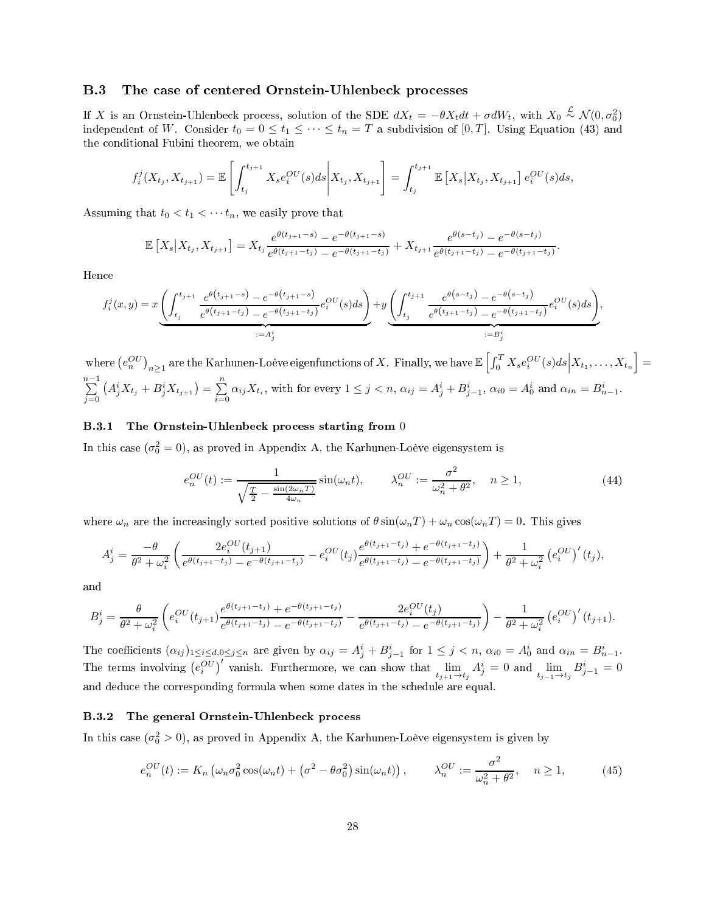## B.3 The ase of entered Ornstein-Uhlenbe
k pro
esses

If X is an Ornstein-Uhlenbeck process, solution of the SDE  $dX_t = -\theta X_t dt + \sigma dW_t$ , with  $X_0 \stackrel{\mathcal{L}}{\sim} \mathcal{N}(0, \sigma_0^2)$ independent of W. Consider  $t_0 = 0 \le t_1 \le \cdots \le t_n = T$  a subdivision of [0, T]. Using Equation (43) and the onditional Fubini theorem, we obtain

$$
f_i^j(X_{t_j}, X_{t_{j+1}}) = \mathbb{E}\left[\int_{t_j}^{t_{j+1}} X_s e_i^{OU}(s)ds \middle| X_{t_j}, X_{t_{j+1}}\right] = \int_{t_j}^{t_{j+1}} \mathbb{E}\left[X_s \middle| X_{t_j}, X_{t_{j+1}}\right] e_i^{OU}(s)ds,
$$

Assuming that  $t_0 < t_1 < \cdots t_n$ , we easily prove that

$$
\mathbb{E}\left[X_s\big|X_{t_j}, X_{t_{j+1}}\right] = X_{t_j} \frac{e^{\theta(t_{j+1}-s)} - e^{-\theta(t_{j+1}-s)}}{e^{\theta(t_{j+1}-t_j)} - e^{-\theta(t_{j+1}-t_j)}} + X_{t_{j+1}} \frac{e^{\theta(s-t_j)} - e^{-\theta(s-t_j)}}{e^{\theta(t_{j+1}-t_j)} - e^{-\theta(t_{j+1}-t_j)}}.
$$

Hen
e

$$
f_i^j(x,y) = x \underbrace{\left(\int_{t_j}^{t_{j+1}} \frac{e^{\theta(t_{j+1}-s)} - e^{-\theta(t_{j+1}-s)}}{e^{\theta(t_{j+1}-t_j)} - e^{-\theta(t_{j+1}-t_j)}} e_i^{OU}(s) ds\right)}_{:= A_j^i} + y \underbrace{\left(\int_{t_j}^{t_{j+1}} \frac{e^{\theta(s-t_j)} - e^{-\theta(s-t_j)}}{e^{\theta(t_{j+1}-t_j)} - e^{-\theta(t_{j+1}-t_j)}} e_i^{OU}(s) ds\right)}_{:= B_j^i},
$$

where  $(e_n^{OU})_{n\geq 1}$  are the Karhunen-Loève eigenfunctions of X. Finally, we have  $\mathbb{E}\left[\int_0^T X_s e_i^{OU}(s)ds \Big| X_{t_1},\ldots,X_{t_n}\right]=$  $\sum_{n=1}^{n-1}$  $j=0$  $(A_j^i X_{t_j} + B_j^i X_{t_{j+1}}) = \sum_{i=1}^n$  $\sum_{i=0} \alpha_{ij} X_{t_i}$ , with for every  $1 \leq j < n$ ,  $\alpha_{ij} = A_j^i + B_{j-1}^i$ ,  $\alpha_{i0} = A_0^i$  and  $\alpha_{in} = B_{n-1}^i$ .

#### B.3.1 The Ornstein-Uhlenbe
k pro
ess starting from 0

In this case  $(\sigma_0^2 = 0)$ , as proved in Appendix A, the Karhunen-Loève eigensystem is

$$
e_n^{OU}(t) := \frac{1}{\sqrt{\frac{T}{2} - \frac{\sin(2\omega_n T)}{4\omega_n}}}\sin(\omega_n t), \qquad \lambda_n^{OU} := \frac{\sigma^2}{\omega_n^2 + \theta^2}, \quad n \ge 1,
$$
\n(44)

where  $\omega_n$  are the increasingly sorted positive solutions of  $\theta \sin(\omega_n T) + \omega_n \cos(\omega_n T) = 0$ . This gives

$$
A_j^i = \frac{-\theta}{\theta^2 + \omega_i^2} \left( \frac{2e_i^{OU}(t_{j+1})}{e^{\theta(t_{j+1}-t_j)} - e^{-\theta(t_{j+1}-t_j)}} - e_i^{OU}(t_j) \frac{e^{\theta(t_{j+1}-t_j)} + e^{-\theta(t_{j+1}-t_j)}}{e^{\theta(t_{j+1}-t_j)} - e^{-\theta(t_{j+1}-t_j)}} \right) + \frac{1}{\theta^2 + \omega_i^2} \left( e_i^{OU} \right)'(t_j),
$$

and

$$
B_j^i = \frac{\theta}{\theta^2 + \omega_i^2} \left( e_i^{OU}(t_{j+1}) \frac{e^{\theta(t_{j+1}-t_j)} + e^{-\theta(t_{j+1}-t_j)}}{e^{\theta(t_{j+1}-t_j)} - e^{-\theta(t_{j+1}-t_j)}} - \frac{2e_i^{OU}(t_j)}{e^{\theta(t_{j+1}-t_j)} - e^{-\theta(t_{j+1}-t_j)}} \right) - \frac{1}{\theta^2 + \omega_i^2} \left( e_i^{OU} \right)'(t_{j+1}).
$$

The coefficients  $(\alpha_{ij})_{1\leq i\leq d,0\leq j\leq n}$  are given by  $\alpha_{ij}=A_j^i+B_{j-1}^i$  for  $1\leq j< n$ ,  $\alpha_{i0}=A_0^i$  and  $\alpha_{in}=B_{n-1}^i$ . The terms involving  $(e_i^{OU})'$  vanish. Furthermore, we can show that  $\lim_{t_{j+1}\to t_j} A_j^i = 0$  and  $\lim_{t_{j-1}\to t_j} B_{j-1}^i = 0$ and dedu
e the orresponding formula when some dates in the s
hedule are equal.

#### B.3.2 The general Ornstein-Uhlenbe
k pro
ess

In this case  $(\sigma_0^2 > 0)$ , as proved in Appendix A, the Karhunen-Loève eigensystem is given by

$$
e_n^{OU}(t) := K_n \left( \omega_n \sigma_0^2 \cos(\omega_n t) + \left( \sigma^2 - \theta \sigma_0^2 \right) \sin(\omega_n t) \right), \qquad \lambda_n^{OU} := \frac{\sigma^2}{\omega_n^2 + \theta^2}, \quad n \ge 1,
$$
 (45)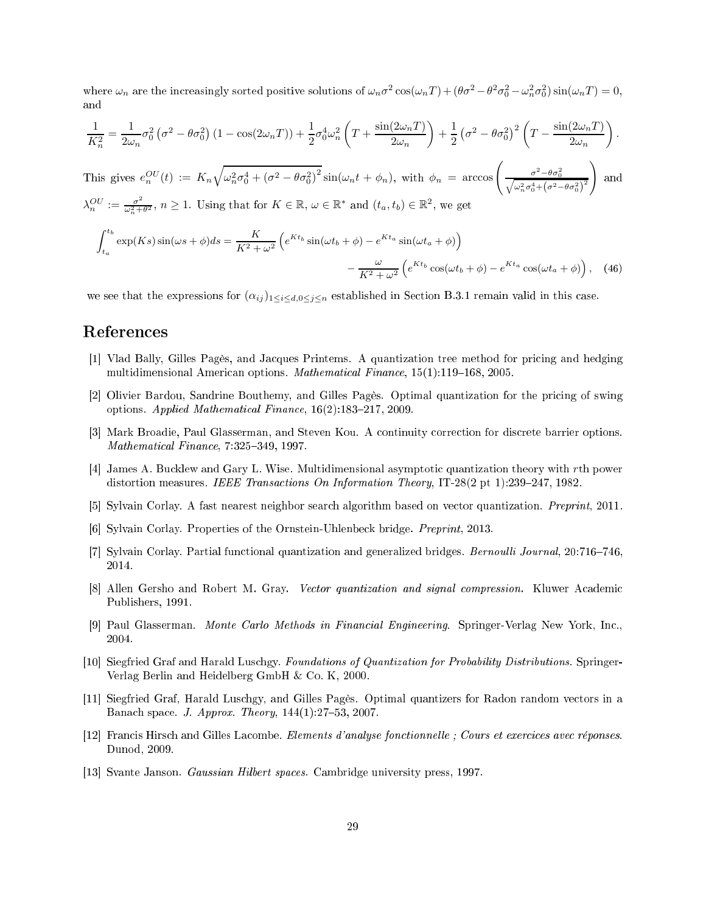where  $\omega_n$  are the increasingly sorted positive solutions of  $\omega_n \sigma^2 \cos(\omega_n T) + (\theta \sigma^2 - \theta^2 \sigma_0^2 - \omega_n^2 \sigma_0^2) \sin(\omega_n T) = 0$ , and

$$
\frac{1}{K_n^2} = \frac{1}{2\omega_n} \sigma_0^2 \left( \sigma^2 - \theta \sigma_0^2 \right) \left( 1 - \cos(2\omega_n T) \right) + \frac{1}{2} \sigma_0^4 \omega_n^2 \left( T + \frac{\sin(2\omega_n T)}{2\omega_n} \right) + \frac{1}{2} \left( \sigma^2 - \theta \sigma_0^2 \right)^2 \left( T - \frac{\sin(2\omega_n T)}{2\omega_n} \right).
$$

This gives  $e_n^{OU}(t) := K_n \sqrt{\omega_n^2 \sigma_0^4 + (\sigma^2 - \theta \sigma_0^2)^2} \sin(\omega_n t + \phi_n)$ , with  $\phi_n = \arccos\left(\frac{\sigma^2 - \theta \sigma_0^2}{\sqrt{\omega_n^2 \sigma_0^4 + (\sigma^2 - \theta \sigma_0^2)^2}}\right)$ !  $\lambda_n^{OU} := \frac{\sigma^2}{\omega_x^2 + \cdots}$  $\frac{\sigma^2}{\omega_n^2 + \theta^2}$ ,  $n \ge 1$ . Using that for  $K \in \mathbb{R}$ ,  $\omega \in \mathbb{R}^*$  and  $(t_a, t_b) \in \mathbb{R}^2$ , we get

$$
\int_{t_a}^{t_b} \exp(Ks) \sin(\omega s + \phi) ds = \frac{K}{K^2 + \omega^2} \left( e^{Kt_b} \sin(\omega t_b + \phi) - e^{Kt_a} \sin(\omega t_a + \phi) \right)
$$

$$
- \frac{\omega}{K^2 + \omega^2} \left( e^{Kt_b} \cos(\omega t_b + \phi) - e^{Kt_a} \cos(\omega t_a + \phi) \right), \quad (46)
$$

we see that the expressions for  $(\alpha_{ij})_{1\leq i\leq d,0\leq j\leq n}$  established in Section B.3.1 remain valid in this case.

## Referen
es

- [1] Vlad Bally, Gilles Pagès, and Jacques Printems. A quantization tree method for pricing and hedging multidimensional American options. *Mathematical Finance*, 15(1):119–168, 2005.
- [2] Olivier Bardou, Sandrine Bouthemy, and Gilles Pagès. Optimal quantization for the pricing of swing options. Applied Mathematical Finance, 16(2):183-217, 2009.
- [3] Mark Broadie, Paul Glasserman, and Steven Kou. A continuity correction for discrete barrier options. Mathematical Finance, 7:325-349, 1997.
- [4] James A. Bucklew and Gary L. Wise. Multidimensional asymptotic quantization theory with rth power distortion measures. IEEE Transactions On Information Theory, IT-28(2 pt 1):239-247, 1982.
- [5] Sylvain Corlay. A fast nearest neighbor search algorithm based on vector quantization. *Preprint*, 2011.
- [6] Sylvain Corlay. Properties of the Ornstein-Uhlenbeck bridge. *Preprint*, 2013.
- [7] Sylvain Corlay. Partial functional quantization and generalized bridges. Bernoulli Journal, 20:716-746, 2014.
- [8] Allen Gersho and Robert M. Gray. Vector quantization and signal compression. Kluwer Academic Publishers, 1991.
- [9] Paul Glasserman. Monte Carlo Methods in Financial Engineering. Springer-Verlag New York, Inc., 2004.
- [10] Siegfried Graf and Harald Luschgy. Foundations of Quantization for Probability Distributions. Springer-Verlag Berlin and Heidelberg GmbH & Co. K, 2000.
- [11] Siegfried Graf, Harald Luschgy, and Gilles Pagès. Optimal quantizers for Radon random vectors in a Banach space. *J. Approx. Theory*, 144(1):27–53, 2007.
- [12] Francis Hirsch and Gilles Lacombe. Elements d'analyse fonctionnelle ; Cours et exercices avec réponses. Dunod, 2009.
- [13] Svante Janson. Gaussian Hilbert spaces. Cambridge university press, 1997.